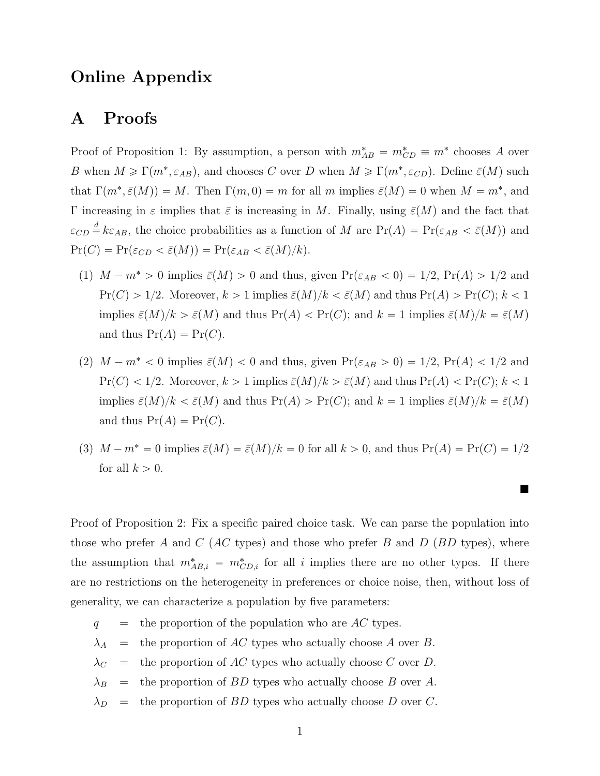# Online Appendix

# A Proofs

Proof of Proposition 1: By assumption, a person with  $m_{AB}^* = m_{CD}^* \equiv m^*$  chooses A over *B* when  $M \ge \Gamma(m^*, \varepsilon_{AB})$ , and chooses *C* over *D* when  $M \ge \Gamma(m^*, \varepsilon_{CD})$ . Define  $\bar{\varepsilon}(M)$  such that  $\Gamma(m^*, \bar{\varepsilon}(M)) = M$ . Then  $\Gamma(m, 0) = m$  for all *m* implies  $\bar{\varepsilon}(M) = 0$  when  $M = m^*$ , and  $\Gamma$  increasing in  $\varepsilon$  implies that  $\bar{\varepsilon}$  is increasing in *M*. Finally, using  $\bar{\varepsilon}(M)$  and the fact that  $\varepsilon_{CD} \stackrel{d}{=} k \varepsilon_{AB}$ , the choice probabilities as a function of *M* are  $Pr(A) = Pr(\varepsilon_{AB} < \bar{\varepsilon}(M))$  and  $\Pr(C) = \Pr(\varepsilon_{CD} < \bar{\varepsilon}(M)) = \Pr(\varepsilon_{AB} < \bar{\varepsilon}(M)/k).$ 

- (1)  $M m^* > 0$  implies  $\bar{\varepsilon}(M) > 0$  and thus, given  $Pr(\varepsilon_{AB} < 0) = 1/2$ ,  $Pr(A) > 1/2$  and  $Pr(C) > 1/2$ . Moreover,  $k > 1$  implies  $\bar{\varepsilon}(M)/k < \bar{\varepsilon}(M)$  and thus  $Pr(A) > Pr(C)$ ;  $k < 1$ implies  $\bar{\varepsilon}(M)/k > \bar{\varepsilon}(M)$  and thus  $Pr(A) < Pr(C)$ ; and  $k = 1$  implies  $\bar{\varepsilon}(M)/k = \bar{\varepsilon}(M)$ and thus  $Pr(A) = Pr(C)$ .
- (2)  $M m^* < 0$  implies  $\bar{\varepsilon}(M) < 0$  and thus, given  $Pr(\varepsilon_{AB} > 0) = 1/2$ ,  $Pr(A) < 1/2$  and  $Pr(C) < 1/2$ . Moreover,  $k > 1$  implies  $\bar{\varepsilon}(M)/k > \bar{\varepsilon}(M)$  and thus  $Pr(A) < Pr(C)$ ;  $k < 1$ implies  $\bar{\varepsilon}(M)/k < \bar{\varepsilon}(M)$  and thus  $Pr(A) > Pr(C)$ ; and  $k = 1$  implies  $\bar{\varepsilon}(M)/k = \bar{\varepsilon}(M)$ and thus  $Pr(A) = Pr(C)$ .
- (3)  $M m^* = 0$  implies  $\bar{\varepsilon}(M) = \bar{\varepsilon}(M)/k = 0$  for all  $k > 0$ , and thus  $Pr(A) = Pr(C) = 1/2$ for all  $k > 0$ .

 $\blacksquare$ 

Proof of Proposition 2: Fix a specific paired choice task. We can parse the population into those who prefer *A* and *C* (*AC* types) and those who prefer *B* and *D* (*BD* types), where the assumption that  $m^*_{AB,i} = m^*_{CD,i}$  for all *i* implies there are no other types. If there are no restrictions on the heterogeneity in preferences or choice noise, then, without loss of generality, we can characterize a population by five parameters:

- *q* = the proportion of the population who are *AC* types.
- $\lambda_A$  = the proportion of *AC* types who actually choose *A* over *B*.
- $\lambda_C$  = the proportion of *AC* types who actually choose *C* over *D*.
- $\lambda_B$  = the proportion of *BD* types who actually choose *B* over *A*.
- $\lambda_D$  = the proportion of *BD* types who actually choose *D* over *C*.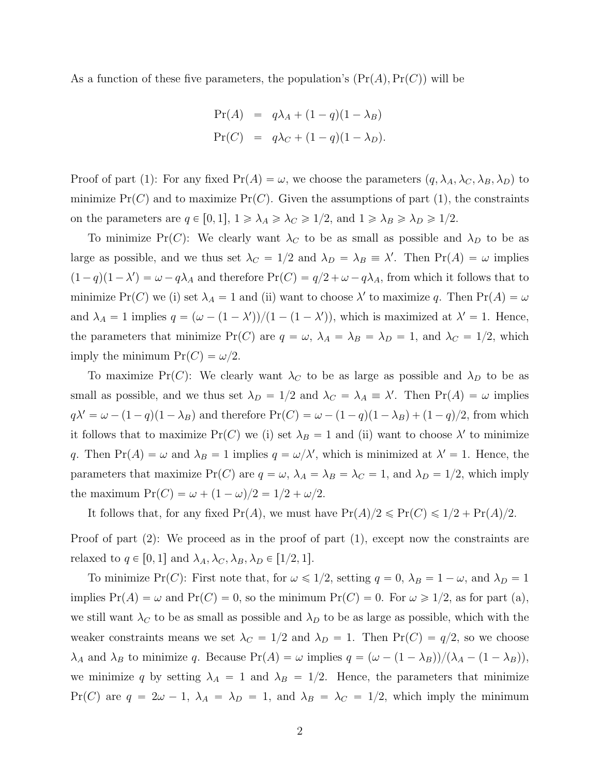As a function of these five parameters, the population's  $(\Pr(A), \Pr(C))$  will be

$$
Pr(A) = q\lambda_A + (1 - q)(1 - \lambda_B)
$$
  
\n
$$
Pr(C) = q\lambda_C + (1 - q)(1 - \lambda_D).
$$

Proof of part (1): For any fixed  $Pr(A) = \omega$ , we choose the parameters  $(q, \lambda_A, \lambda_C, \lambda_B, \lambda_D)$  to minimize  $Pr(C)$  and to maximize  $Pr(C)$ . Given the assumptions of part (1), the constraints on the parameters are  $q \in [0, 1], 1 \ge \lambda_A \ge \lambda_C \ge 1/2$ , and  $1 \ge \lambda_B \ge \lambda_D \ge 1/2$ .

To minimize  $Pr(C)$ : We clearly want  $\lambda_C$  to be as small as possible and  $\lambda_D$  to be as large as possible, and we thus set  $\lambda_C = 1/2$  and  $\lambda_D = \lambda_B \equiv \lambda'$ . Then  $Pr(A) = \omega$  implies  $(1-q)(1-\lambda') = \omega - q\lambda_A$  and therefore  $Pr(C) = q/2 + \omega - q\lambda_A$ , from which it follows that to minimize Pr(C) we (i) set  $\lambda_A = 1$  and (ii) want to choose  $\lambda'$  to maximize q. Then Pr(A) =  $\omega$ and  $\lambda_A = 1$  implies  $q = (\omega - (1 - \lambda'))/(1 - (1 - \lambda'))$ , which is maximized at  $\lambda' = 1$ . Hence, the parameters that minimize Pr(C) are  $q = \omega$ ,  $\lambda_A = \lambda_B = \lambda_D = 1$ , and  $\lambda_C = 1/2$ , which imply the minimum  $Pr(C) = \omega/2$ .

To maximize Pr(C): We clearly want  $\lambda_C$  to be as large as possible and  $\lambda_D$  to be as small as possible, and we thus set  $\lambda_D = 1/2$  and  $\lambda_C = \lambda_A \equiv \lambda'$ . Then  $Pr(A) = \omega$  implies  $q\lambda' = \omega - (1 - q)(1 - \lambda_B)$  and therefore  $Pr(C) = \omega - (1 - q)(1 - \lambda_B) + (1 - q)/2$ , from which it follows that to maximize Pr(C) we (i) set  $\lambda_B = 1$  and (ii) want to choose  $\lambda'$  to minimize *q*. Then  $Pr(A) = \omega$  and  $\lambda_B = 1$  implies  $q = \omega/\lambda'$ , which is minimized at  $\lambda' = 1$ . Hence, the parameters that maximize Pr(C) are  $q = \omega$ ,  $\lambda_A = \lambda_B = \lambda_C = 1$ , and  $\lambda_D = 1/2$ , which imply the maximum  $Pr(C) = \omega + (1 - \omega)/2 = 1/2 + \omega/2$ .

It follows that, for any fixed  $Pr(A)$ , we must have  $Pr(A)/2 \leqslant Pr(C) \leqslant 1/2 + Pr(A)/2$ .

Proof of part (2): We proceed as in the proof of part (1), except now the constraints are relaxed to  $q \in [0,1]$  and  $\lambda_A, \lambda_C, \lambda_B, \lambda_D \in [1/2, 1].$ 

To minimize Pr(C): First note that, for  $\omega \leq 1/2$ , setting  $q = 0$ ,  $\lambda_B = 1 - \omega$ , and  $\lambda_D = 1$ implies  $Pr(A) = \omega$  and  $Pr(C) = 0$ , so the minimum  $Pr(C) = 0$ . For  $\omega \ge 1/2$ , as for part (a), we still want  $\lambda_C$  to be as small as possible and  $\lambda_D$  to be as large as possible, which with the weaker constraints means we set  $\lambda_C = 1/2$  and  $\lambda_D = 1$ . Then  $Pr(C) = q/2$ , so we choose  $\lambda_A$  and  $\lambda_B$  to minimize *q*. Because Pr(*A*) =  $\omega$  implies  $q = (\omega - (1 - \lambda_B)) / (\lambda_A - (1 - \lambda_B))$ , we minimize q by setting  $\lambda_A = 1$  and  $\lambda_B = 1/2$ . Hence, the parameters that minimize  $Pr(C)$  are  $q = 2\omega - 1$ ,  $\lambda_A = \lambda_D = 1$ , and  $\lambda_B = \lambda_C = 1/2$ , which imply the minimum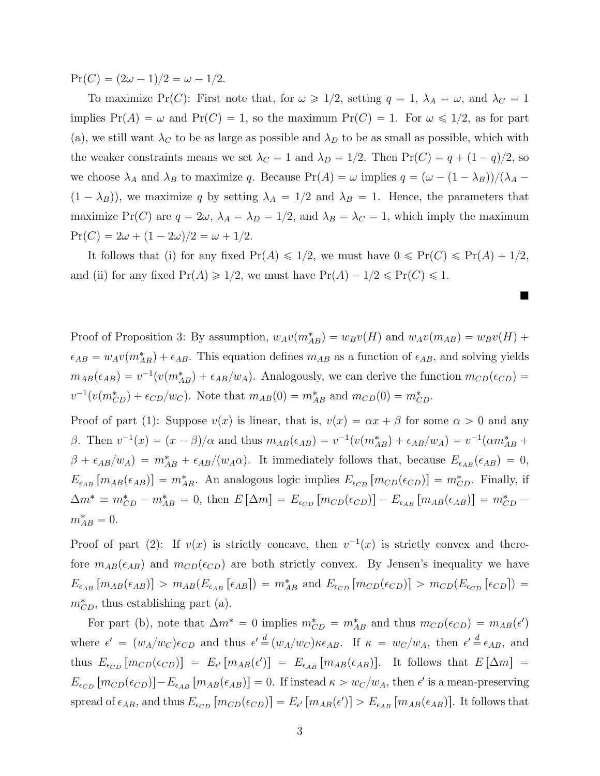$Pr(C) = (2\omega - 1)/2 = \omega - 1/2.$ 

To maximize Pr(C): First note that, for  $\omega \geq 1/2$ , setting  $q = 1, \lambda_A = \omega$ , and  $\lambda_C = 1$ implies  $Pr(A) = \omega$  and  $Pr(C) = 1$ , so the maximum  $Pr(C) = 1$ . For  $\omega \le 1/2$ , as for part (a), we still want  $\lambda_C$  to be as large as possible and  $\lambda_D$  to be as small as possible, which with the weaker constraints means we set  $\lambda_C = 1$  and  $\lambda_D = 1/2$ . Then  $Pr(C) = q + (1 - q)/2$ , so we choose  $\lambda_A$  and  $\lambda_B$  to maximize *q*. Because  $Pr(A) = \omega$  implies  $q = (\omega - (1 - \lambda_B))/(\lambda_A (1 - \lambda_B)$ , we maximize *q* by setting  $\lambda_A = 1/2$  and  $\lambda_B = 1$ . Hence, the parameters that maximize Pr(C) are  $q = 2\omega$ ,  $\lambda_A = \lambda_D = 1/2$ , and  $\lambda_B = \lambda_C = 1$ , which imply the maximum  $Pr(C) = 2\omega + (1 - 2\omega)/2 = \omega + 1/2.$ 

It follows that (i) for any fixed  $Pr(A) \leq 1/2$ , we must have  $0 \leq Pr(C) \leq Pr(A) + 1/2$ , and (ii) for any fixed  $Pr(A) \geq 1/2$ , we must have  $Pr(A) - 1/2 \leq Pr(C) \leq 1$ .

▬

Proof of Proposition 3: By assumption,  $w_A v(m_{AB}^*) = w_B v(H)$  and  $w_A v(m_{AB}) = w_B v(H) + w_B w(H)$  $\epsilon_{AB} = w_A v(m_{AB}^*) + \epsilon_{AB}$ . This equation defines  $m_{AB}$  as a function of  $\epsilon_{AB}$ , and solving yields  $m_{AB}(\epsilon_{AB}) = v^{-1}(v(m_{AB}^*) + \epsilon_{AB}/w_A)$ . Analogously, we can derive the function  $m_{CD}(\epsilon_{CD}) =$  $v^{-1}(v(m_{CD}^*) + \epsilon_{CD}/w_C)$ . Note that  $m_{AB}(0) = m_{AB}^*$  and  $m_{CD}(0) = m_{CD}^*$ .

Proof of part (1): Suppose  $v(x)$  is linear, that is,  $v(x) = \alpha x + \beta$  for some  $\alpha > 0$  and any  $\beta$ . Then  $v^{-1}(x) = (x - \beta)/\alpha$  and thus  $m_{AB}(\epsilon_{AB}) = v^{-1}(v(m_{AB}^*) + \epsilon_{AB}/w_A) = v^{-1}(\alpha m_{AB}^* + \beta m_{AB}^*)$  $\beta + \epsilon_{AB}/w_A$  =  $m_{AB}^* + \epsilon_{AB}/(w_A\alpha)$ . It immediately follows that, because  $E_{\epsilon_{AB}}(\epsilon_{AB}) = 0$ ,  $E_{\epsilon_{AB}}[m_{AB}(\epsilon_{AB})] = m_{AB}^*$ . An analogous logic implies  $E_{\epsilon_{CD}}[m_{CD}(\epsilon_{CD})] = m_{CD}^*$ . Finally, if  $\Delta m^* \equiv m_{CD}^* - m_{AB}^* = 0$ , then  $E[\Delta m] = E_{\epsilon_{CD}}[m_{CD}(\epsilon_{CD})] - E_{\epsilon_{AB}}[m_{AB}(\epsilon_{AB})] = m_{CD}^* - 0$  $m_{AB}^* = 0.$ 

Proof of part (2): If  $v(x)$  is strictly concave, then  $v^{-1}(x)$  is strictly convex and therefore  $m_{AB}(\epsilon_{AB})$  and  $m_{CD}(\epsilon_{CD})$  are both strictly convex. By Jensen's inequality we have  $E_{\epsilon_{AB}}[m_{AB}(\epsilon_{AB})] > m_{AB}(E_{\epsilon_{AB}}[\epsilon_{AB}]) = m_{AB}^*$  and  $E_{\epsilon_{CD}}[m_{CD}(\epsilon_{CD})] > m_{CD}(E_{\epsilon_{CD}}[\epsilon_{CD}]) =$  $m_{CD}^*$ , thus establishing part (a).

For part (b), note that  $\Delta m^* = 0$  implies  $m_{CD}^* = m_{AB}^*$  and thus  $m_{CD}(\epsilon_{CD}) = m_{AB}(\epsilon')$ where  $\epsilon' = (w_A/w_C)\epsilon_{CD}$  and thus  $\epsilon' = (w_A/w_C)\kappa_{AB}$ . If  $\kappa = w_C/w_A$ , then  $\epsilon' = \epsilon_{AB}$ , and thus  $E_{\epsilon_{CD}}[m_{CD}(\epsilon_{CD})] = E_{\epsilon'}[m_{AB}(\epsilon')] = E_{\epsilon_{AB}}[m_{AB}(\epsilon_{AB})]$ . It follows that  $E[\Delta m] =$  $E_{\epsilon_{CD}}[m_{CD}(\epsilon_{CD})]-E_{\epsilon_{AB}}[m_{AB}(\epsilon_{AB})]=0$ . If instead  $\kappa>w_C/w_A$ , then  $\epsilon'$  is a mean-preserving  $\text{spread of } \epsilon_{AB}$ , and thus  $E_{\epsilon_{CD}}[m_{CD}(\epsilon_{CD})] = E_{\epsilon'}[m_{AB}(\epsilon')] > E_{\epsilon_{AB}}[m_{AB}(\epsilon_{AB})]$ . It follows that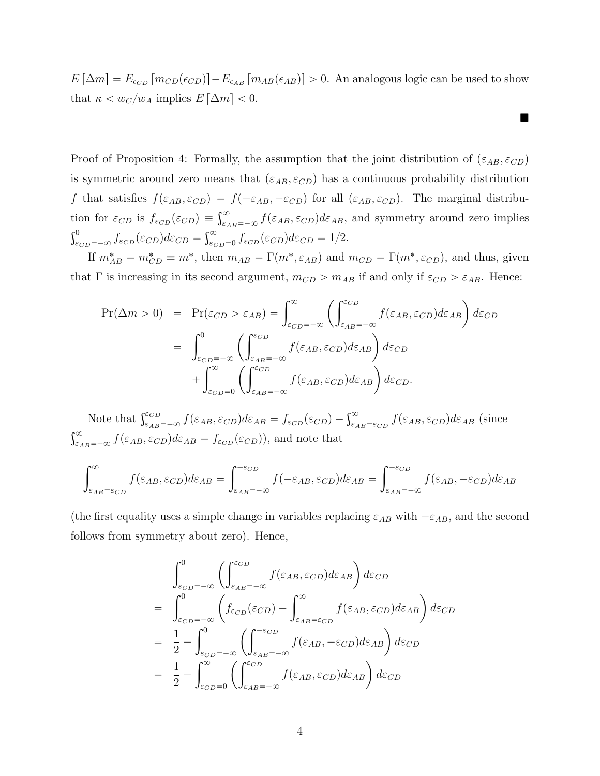$E[\Delta m] = E_{\epsilon_{CD}}[m_{CD}(\epsilon_{CD})] - E_{\epsilon_{AB}}[m_{AB}(\epsilon_{AB})] > 0$ . An analogous logic can be used to show that  $\kappa < w_C/w_A$  implies  $E[\Delta m] < 0$ .

 $\blacksquare$ 

Proof of Proposition 4: Formally, the assumption that the joint distribution of  $(\varepsilon_{AB}, \varepsilon_{CD})$ is symmetric around zero means that  $(\varepsilon_{AB}, \varepsilon_{CD})$  has a continuous probability distribution *f* that satisfies  $f(\varepsilon_{AB}, \varepsilon_{CD}) = f(-\varepsilon_{AB}, -\varepsilon_{CD})$  for all  $(\varepsilon_{AB}, \varepsilon_{CD})$ . The marginal distribution for  $\varepsilon_{CD}$  is  $f_{\varepsilon_{CD}}(\varepsilon_{CD}) \equiv \int_{\varepsilon_{AB}=-\infty}^{\infty} f(\varepsilon_{AB}, \varepsilon_{CD}) d\varepsilon_{AB}$ , and symmetry around zero implies  $\int_{\varepsilon_{CD}=-\infty}^{0} f_{\varepsilon_{CD}}(\varepsilon_{CD}) d\varepsilon_{CD} = \int_{\varepsilon_{CD}=0}^{\infty} f_{\varepsilon_{CD}}(\varepsilon_{CD}) d\varepsilon_{CD} = 1/2.$ 

If  $m_{AB}^* = m_{CD}^* \equiv m^*$ , then  $m_{AB} = \Gamma(m^*, \varepsilon_{AB})$  and  $m_{CD} = \Gamma(m^*, \varepsilon_{CD})$ , and thus, given that  $\Gamma$  is increasing in its second argument,  $m_{CD} > m_{AB}$  if and only if  $\varepsilon_{CD} > \varepsilon_{AB}$ . Hence:

$$
\Pr(\Delta m > 0) = \Pr(\varepsilon_{CD} > \varepsilon_{AB}) = \int_{\varepsilon_{CD} = -\infty}^{\infty} \left( \int_{\varepsilon_{AB} = -\infty}^{\varepsilon_{CD}} f(\varepsilon_{AB}, \varepsilon_{CD}) d\varepsilon_{AB} \right) d\varepsilon_{CD}
$$

$$
= \int_{\varepsilon_{CD} = -\infty}^{0} \left( \int_{\varepsilon_{AB} = -\infty}^{\varepsilon_{CD}} f(\varepsilon_{AB}, \varepsilon_{CD}) d\varepsilon_{AB} \right) d\varepsilon_{CD}
$$

$$
+ \int_{\varepsilon_{CD} = 0}^{\infty} \left( \int_{\varepsilon_{AB} = -\infty}^{\varepsilon_{CD}} f(\varepsilon_{AB}, \varepsilon_{CD}) d\varepsilon_{AB} \right) d\varepsilon_{CD}.
$$

Note that  $\int_{\varepsilon_{AB}=-\infty}^{\varepsilon_{CD}} f(\varepsilon_{AB}, \varepsilon_{CD}) d\varepsilon_{AB} = f_{\varepsilon_{CD}}(\varepsilon_{CD}) - \int_{\varepsilon_{AB}=\varepsilon_{CD}}^{\infty} f(\varepsilon_{AB}, \varepsilon_{CD}) d\varepsilon_{AB}$  (since  $\int_{\varepsilon_{AB}=-\infty}^{\infty} f(\varepsilon_{AB}, \varepsilon_{CD}) d\varepsilon_{AB} = f_{\varepsilon_{CD}}(\varepsilon_{CD})$ , and note that

$$
\int_{\varepsilon_{AB}=\varepsilon_{CD}}^{\infty} f(\varepsilon_{AB}, \varepsilon_{CD}) d\varepsilon_{AB} = \int_{\varepsilon_{AB}=-\infty}^{-\varepsilon_{CD}} f(-\varepsilon_{AB}, \varepsilon_{CD}) d\varepsilon_{AB} = \int_{\varepsilon_{AB}=-\infty}^{-\varepsilon_{CD}} f(\varepsilon_{AB}, -\varepsilon_{CD}) d\varepsilon_{AB}
$$

(the first equality uses a simple change in variables replacing  $\varepsilon_{AB}$  with  $-\varepsilon_{AB}$ , and the second follows from symmetry about zero). Hence,

$$
\int_{\varepsilon_{CD}=-\infty}^{0} \left( \int_{\varepsilon_{AB}=-\infty}^{\varepsilon_{CD}} f(\varepsilon_{AB}, \varepsilon_{CD}) d\varepsilon_{AB} \right) d\varepsilon_{CD}
$$
\n
$$
= \int_{\varepsilon_{CD}=-\infty}^{0} \left( f_{\varepsilon_{CD}}(\varepsilon_{CD}) - \int_{\varepsilon_{AB}=\varepsilon_{CD}}^{\infty} f(\varepsilon_{AB}, \varepsilon_{CD}) d\varepsilon_{AB} \right) d\varepsilon_{CD}
$$
\n
$$
= \frac{1}{2} - \int_{\varepsilon_{CD}=-\infty}^{0} \left( \int_{\varepsilon_{AB}=-\infty}^{\varepsilon_{CD}} f(\varepsilon_{AB}, -\varepsilon_{CD}) d\varepsilon_{AB} \right) d\varepsilon_{CD}
$$
\n
$$
= \frac{1}{2} - \int_{\varepsilon_{CD}=0}^{\infty} \left( \int_{\varepsilon_{AB}=-\infty}^{\varepsilon_{CD}} f(\varepsilon_{AB}, \varepsilon_{CD}) d\varepsilon_{AB} \right) d\varepsilon_{CD}
$$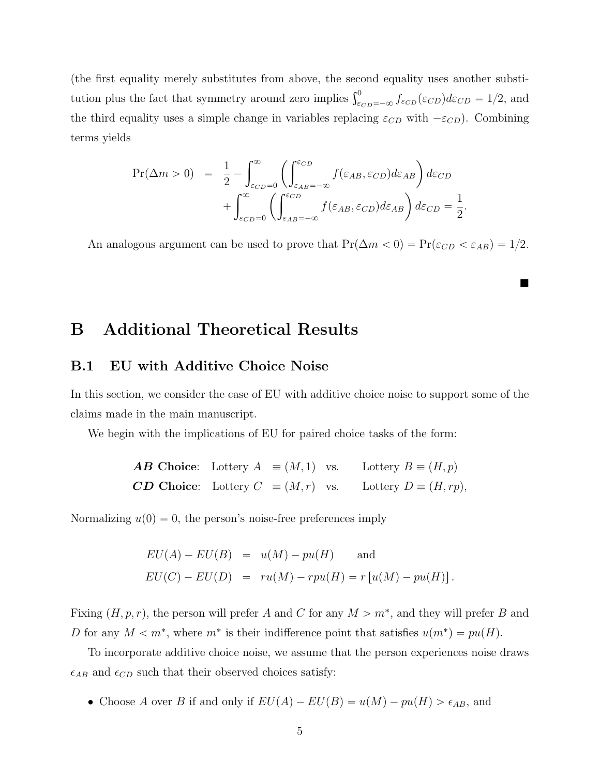(the first equality merely substitutes from above, the second equality uses another substitution plus the fact that symmetry around zero implies  $\int_{\epsilon_{CD}=-\infty}^{0} f_{\epsilon_{CD}}(\epsilon_{CD}) d\varepsilon_{CD} = 1/2$ , and the third equality uses a simple change in variables replacing  $\varepsilon_{CD}$  with  $-\varepsilon_{CD}$ ). Combining terms yields

$$
\Pr(\Delta m > 0) = \frac{1}{2} - \int_{\varepsilon_{CD}=0}^{\infty} \left( \int_{\varepsilon_{AB}=-\infty}^{\varepsilon_{CD}} f(\varepsilon_{AB}, \varepsilon_{CD}) d\varepsilon_{AB} \right) d\varepsilon_{CD} + \int_{\varepsilon_{CD}=0}^{\infty} \left( \int_{\varepsilon_{AB}=-\infty}^{\varepsilon_{CD}} f(\varepsilon_{AB}, \varepsilon_{CD}) d\varepsilon_{AB} \right) d\varepsilon_{CD} = \frac{1}{2}
$$

An analogous argument can be used to prove that  $Pr(\Delta m < 0) = Pr(\varepsilon_{CD} < \varepsilon_{AB}) = 1/2$ .

*.*

 $\blacksquare$ 

### B Additional Theoretical Results

#### B.1 EU with Additive Choice Noise

In this section, we consider the case of EU with additive choice noise to support some of the claims made in the main manuscript.

We begin with the implications of EU for paired choice tasks of the form:

*AB* Choice: Lottery  $A \equiv (M, 1)$  vs. Lottery  $B \equiv (H, p)$ *CD* Choice: Lottery  $C \equiv (M, r)$  vs. Lottery  $D \equiv (H, rp)$ ,

Normalizing  $u(0) = 0$ , the person's noise-free preferences imply

$$
EU(A) - EU(B) = u(M) - pu(H) \text{ and}
$$
  

$$
EU(C) - EU(D) = ru(M) - rpu(H) = r[u(M) - pu(H)].
$$

Fixing  $(H, p, r)$ , the person will prefer *A* and *C* for any  $M > m^*$ , and they will prefer *B* and *D* for any  $M < m^*$ , where  $m^*$  is their indifference point that satisfies  $u(m^*) = pu(H)$ .

To incorporate additive choice noise, we assume that the person experiences noise draws  $\epsilon_{AB}$  and  $\epsilon_{CD}$  such that their observed choices satisfy:

• Choose *A* over *B* if and only if  $EU(A) - EU(B) = u(M) - pu(H) > \epsilon_{AB}$ , and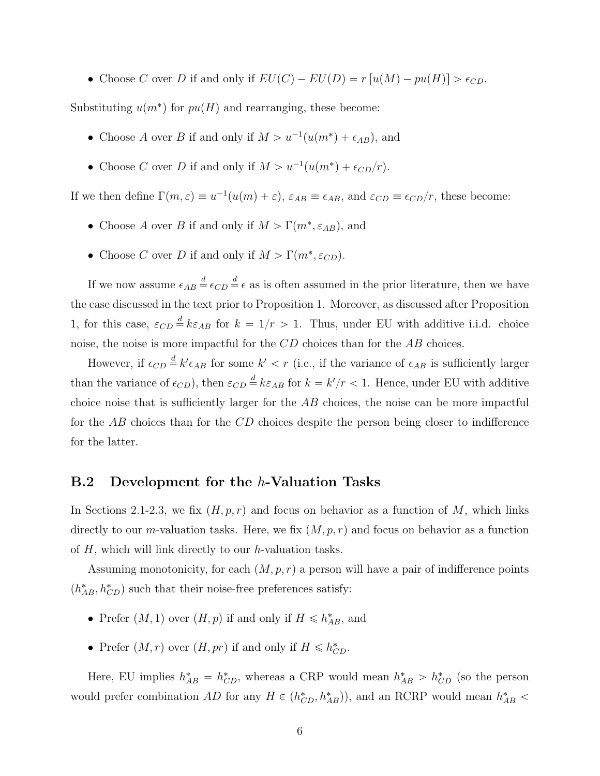• Choose *C* over *D* if and only if  $EU(C) - EU(D) = r[u(M) - pu(H)] > \epsilon_{CD}$ .

Substituting  $u(m^*)$  for  $pu(H)$  and rearranging, these become:

- Choose *A* over *B* if and only if  $M > u^{-1}(u(m^*) + \epsilon_{AB})$ , and
- Choose *C* over *D* if and only if  $M > u^{-1}(u(m^*) + \epsilon_{CD}/r)$ .

If we then define  $\Gamma(m, \varepsilon) \equiv u^{-1}(u(m) + \varepsilon), \varepsilon_{AB} \equiv \epsilon_{AB}$ , and  $\varepsilon_{CD} \equiv \epsilon_{CD}/r$ , these become:

- Choose *A* over *B* if and only if  $M > \Gamma(m^*, \varepsilon_{AB})$ , and
- Choose *C* over *D* if and only if  $M > \Gamma(m^*, \varepsilon_{CD})$ .

If we now assume  $\epsilon_{AB} \stackrel{d}{=} \epsilon_{CD} \stackrel{d}{=} \epsilon$  as is often assumed in the prior literature, then we have the case discussed in the text prior to Proposition 1. Moreover, as discussed after Proposition 1, for this case,  $\varepsilon_{CD} \stackrel{d}{=} k \varepsilon_{AB}$  for  $k = 1/r > 1$ . Thus, under EU with additive i.i.d. choice noise, the noise is more impactful for the *CD* choices than for the *AB* choices.

However, if  $\epsilon_{CD} \stackrel{d}{=} k' \epsilon_{AB}$  for some  $k' < r$  (i.e., if the variance of  $\epsilon_{AB}$  is sufficiently larger than the variance of  $\epsilon_{CD}$ ), then  $\varepsilon_{CD} \stackrel{d}{=} k \varepsilon_{AB}$  for  $k = k'/r < 1$ . Hence, under EU with additive choice noise that is sufficiently larger for the *AB* choices, the noise can be more impactful for the  $\overline{AB}$  choices than for the  $CD$  choices despite the person being closer to indifference for the latter.

#### B.2 Development for the *h*-Valuation Tasks

In Sections 2.1-2.3, we fix  $(H, p, r)$  and focus on behavior as a function of *M*, which links directly to our *m*-valuation tasks. Here, we fix  $(M, p, r)$  and focus on behavior as a function of *H*, which will link directly to our *h*-valuation tasks.

Assuming monotonicity, for each  $(M, p, r)$  a person will have a pair of indifference points  $(h_{AB}^*, h_{CD}^*)$  such that their noise-free preferences satisfy:

- Prefer  $(M, 1)$  over  $(H, p)$  if and only if  $H \leq h_{AB}^*$ , and
- Prefer  $(M, r)$  over  $(H, pr)$  if and only if  $H \leq h_{CD}^*$ .

Here, EU implies  $h_{AB}^* = h_{CD}^*$ , whereas a CRP would mean  $h_{AB}^* > h_{CD}^*$  (so the person would prefer combination  $AD$  for any  $H \in (h^*_{CD}, h^*_{AB})$ , and an RCRP would mean  $h^*_{AB}$  <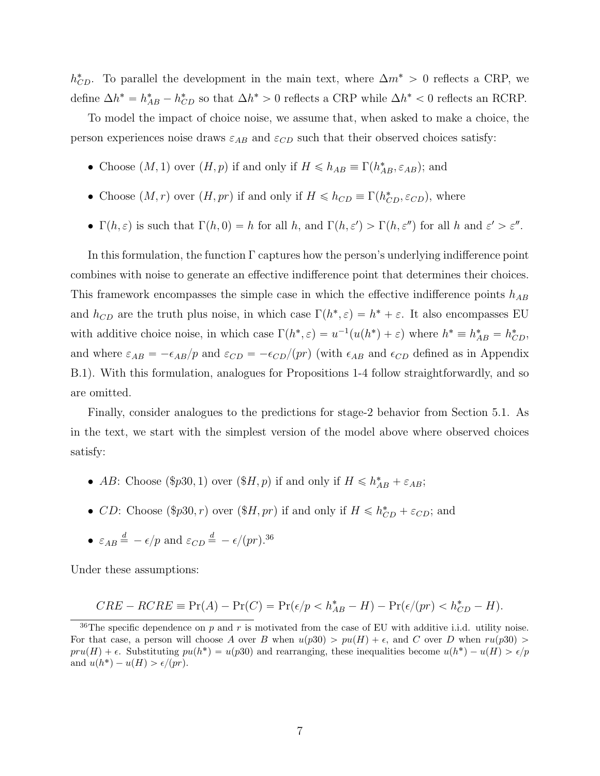$h^*_{CD}$ . To parallel the development in the main text, where  $\Delta m^* > 0$  reflects a CRP, we define  $\Delta h^* = h_{AB}^* - h_{CD}^*$  so that  $\Delta h^* > 0$  reflects a CRP while  $\Delta h^* < 0$  reflects an RCRP.

To model the impact of choice noise, we assume that, when asked to make a choice, the person experiences noise draws  $\varepsilon_{AB}$  and  $\varepsilon_{CD}$  such that their observed choices satisfy:

- Choose  $(M, 1)$  over  $(H, p)$  if and only if  $H \le h_{AB} \equiv \Gamma(h_{AB}^*, \varepsilon_{AB})$ ; and
- Choose  $(M, r)$  over  $(H, pr)$  if and only if  $H \leq h_{CD} \equiv \Gamma(h_{CD}^*, \varepsilon_{CD})$ , where
- $\Gamma(h,\varepsilon)$  is such that  $\Gamma(h,0) = h$  for all *h*, and  $\Gamma(h,\varepsilon') > \Gamma(h,\varepsilon'')$  for all *h* and  $\varepsilon' > \varepsilon''$ .

In this formulation, the function  $\Gamma$  captures how the person's underlying indifference point combines with noise to generate an effective indifference point that determines their choices. This framework encompasses the simple case in which the effective indifference points  $h_{AB}$ and  $h_{CD}$  are the truth plus noise, in which case  $\Gamma(h^*, \varepsilon) = h^* + \varepsilon$ . It also encompasses EU with additive choice noise, in which case  $\Gamma(h^*, \varepsilon) = u^{-1}(u(h^*) + \varepsilon)$  where  $h^* \equiv h^*_{AB} = h^*_{CD}$ , and where  $\varepsilon_{AB} = -\epsilon_{AB}/p$  and  $\varepsilon_{CD} = -\epsilon_{CD}/(pr)$  (with  $\epsilon_{AB}$  and  $\epsilon_{CD}$  defined as in Appendix B.1). With this formulation, analogues for Propositions 1-4 follow straightforwardly, and so are omitted.

Finally, consider analogues to the predictions for stage-2 behavior from Section 5.1. As in the text, we start with the simplest version of the model above where observed choices satisfy:

- *AB*: Choose (\$p30, 1) over (\$*H, p*) if and only if  $H \le h_{AB}^* + \varepsilon_{AB}$ ;
- *CD*: Choose (\$p30*, r*) over (\$*H, pr*) if and only if  $H \leq h_{CD}^* + \varepsilon_{CD}$ ; and
- $\varepsilon_{AB} \stackrel{d}{=} -\epsilon/p$  and  $\varepsilon_{CD} \stackrel{d}{=} -\epsilon/(pr).^{36}$

Under these assumptions:

$$
CRE - RCRE \equiv \Pr(A) - \Pr(C) = \Pr(\epsilon/p < h_{AB}^* - H) - \Pr(\epsilon/(pr) < h_{CD}^* - H).
$$

<sup>&</sup>lt;sup>36</sup>The specific dependence on  $p$  and  $r$  is motivated from the case of EU with additive i.i.d. utility noise. For that case, a person will choose A over B when  $u(p30) > pu(H) + \epsilon$ , and C over D when  $ru(p30) >$  $pru(H) + \epsilon$ . Substituting  $pu(h^*) = u(p30)$  and rearranging, these inequalities become  $u(h^*) - u(H) > \epsilon/p$ and  $u(h^*) - u(H) > \epsilon/(pr)$ .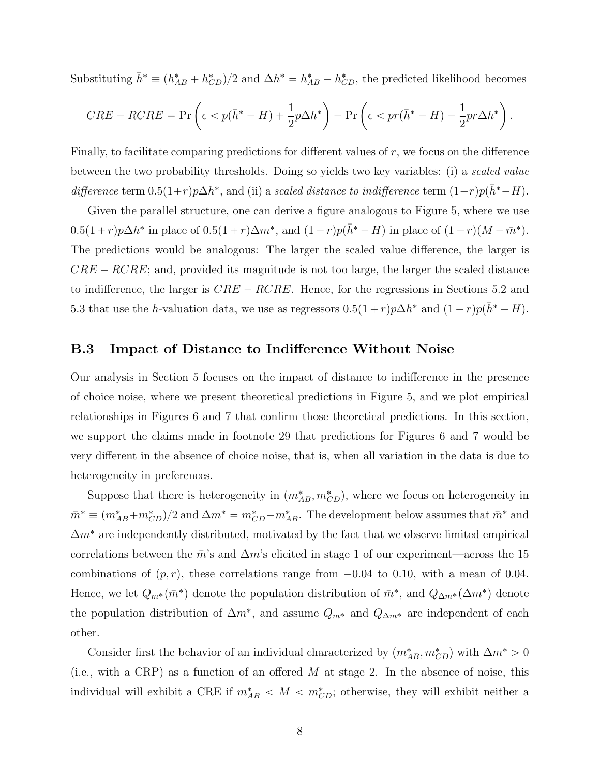Substituting  $\bar{h}^* \equiv (h_{AB}^* + h_{CD}^*)/2$  and  $\Delta h^* = h_{AB}^* - h_{CD}^*$ , the predicted likelihood becomes

$$
CRE - RCRE = \Pr\left(\epsilon < p(\bar{h}^* - H) + \frac{1}{2}p\Delta h^*\right) - \Pr\left(\epsilon < pr(\bar{h}^* - H) - \frac{1}{2}pr\Delta h^*\right).
$$

Finally, to facilitate comparing predictions for different values of r, we focus on the difference between the two probability thresholds. Doing so yields two key variables: (i) a *scaled value difference* term  $0.5(1+r)p\Delta h^*$ , and (ii) a *scaled distance to indifference* term  $(1-r)p(\bar{h}^* - H)$ .

Given the parallel structure, one can derive a figure analogous to Figure 5, where we use  $0.5(1+r)p\Delta h^*$  in place of  $0.5(1+r)\Delta m^*$ , and  $(1-r)p(\bar{h}^* - H)$  in place of  $(1-r)(M - \bar{m}^*)$ . The predictions would be analogous: The larger the scaled value difference, the larger is  $CRE - RCRE$ ; and, provided its magnitude is not too large, the larger the scaled distance to indifference, the larger is  $CRE - RCRE$ . Hence, for the regressions in Sections 5.2 and 5.3 that use the *h*-valuation data, we use as regressors  $0.5(1+r)p\Delta h^*$  and  $(1-r)p(\bar{h}^* - H)$ .

#### B.3 Impact of Distance to Indifference Without Noise

Our analysis in Section 5 focuses on the impact of distance to indifference in the presence of choice noise, where we present theoretical predictions in Figure 5, and we plot empirical relationships in Figures 6 and 7 that confirm those theoretical predictions. In this section, we support the claims made in footnote 29 that predictions for Figures 6 and 7 would be very different in the absence of choice noise, that is, when all variation in the data is due to heterogeneity in preferences.

Suppose that there is heterogeneity in  $(m_{AB}^*, m_{CD}^*)$ , where we focus on heterogeneity in  $\bar{m}^* \equiv (m_{AB}^* + m_{CD}^*)/2$  and  $\Delta m^* = m_{CD}^* - m_{AB}^*$ . The development below assumes that  $\bar{m}^*$  and  $\Delta m^*$  are independently distributed, motivated by the fact that we observe limited empirical correlations between the  $\bar{m}$ 's and  $\Delta m$ 's elicited in stage 1 of our experiment—across the 15 combinations of  $(p, r)$ , these correlations range from  $-0.04$  to 0.10, with a mean of 0.04. Hence, we let  $Q_{\bar{m}}*(\bar{m}^*)$  denote the population distribution of  $\bar{m}^*$ , and  $Q_{\Delta m^*}(\Delta m^*)$  denote the population distribution of  $\Delta m^*$ , and assume  $Q_{\bar{m}^*}$  and  $Q_{\Delta m^*}$  are independent of each other.

Consider first the behavior of an individual characterized by  $(m_{AB}^*, m_{CD}^*)$  with  $\Delta m^* > 0$ (i.e., with a CRP) as a function of an offered  $M$  at stage 2. In the absence of noise, this individual will exhibit a CRE if  $m^*_{AB} < M < m^*_{CD}$ ; otherwise, they will exhibit neither a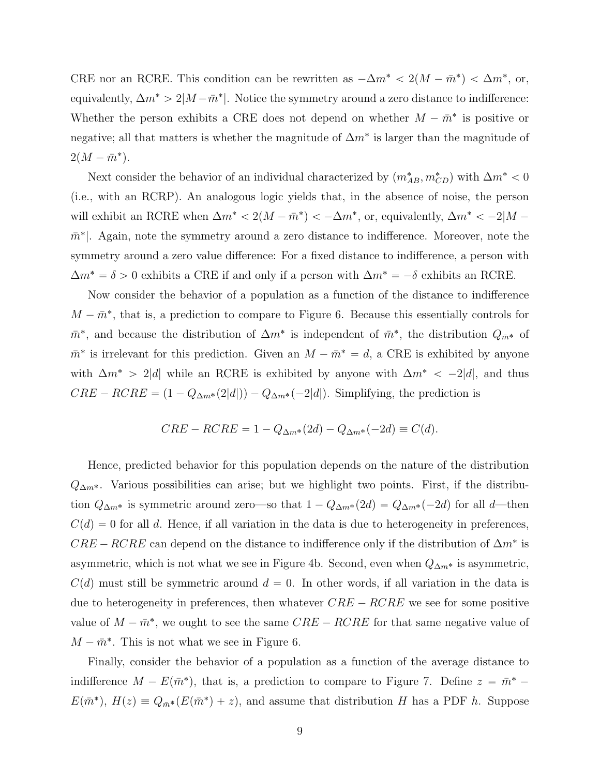CRE nor an RCRE. This condition can be rewritten as  $-\Delta m^* < 2(M - \bar{m}^*) < \Delta m^*$ , or, equivalently,  $\Delta m^* > 2|M - \bar{m}^*|$ . Notice the symmetry around a zero distance to indifference: Whether the person exhibits a CRE does not depend on whether  $M - \bar{m}^*$  is positive or negative; all that matters is whether the magnitude of  $\Delta m^*$  is larger than the magnitude of  $2(M - \bar{m}^*).$ 

Next consider the behavior of an individual characterized by  $(m_{AB}^*, m_{CD}^*)$  with  $\Delta m^* < 0$ (i.e., with an RCRP). An analogous logic yields that, in the absence of noise, the person will exhibit an RCRE when  $\Delta m^* < 2(M - \bar{m}^*) < -\Delta m^*$ , or, equivalently,  $\Delta m^* < -2|M - \bar{m}^*|$  $\bar{m}^*$ . Again, note the symmetry around a zero distance to indifference. Moreover, note the symmetry around a zero value difference: For a fixed distance to indifference, a person with  $\Delta m^* = \delta > 0$  exhibits a CRE if and only if a person with  $\Delta m^* = -\delta$  exhibits an RCRE.

Now consider the behavior of a population as a function of the distance to indifference  $M - \bar{m}^*$ , that is, a prediction to compare to Figure 6. Because this essentially controls for  $\bar{m}^*$ , and because the distribution of  $\Delta m^*$  is independent of  $\bar{m}^*$ , the distribution  $Q_{\bar{m}^*}$  of  $\bar{m}^*$  is irrelevant for this prediction. Given an  $M - \bar{m}^* = d$ , a CRE is exhibited by anyone with  $\Delta m^*$  > 2|*d*| while an RCRE is exhibited by anyone with  $\Delta m^*$  < -2|*d*|, and thus  $CRE - RCRE = (1 - Q_{\Delta m^*}(2|d|)) - Q_{\Delta m^*}(-2|d|)$ . Simplifying, the prediction is

$$
CRE - RCRE = 1 - Q_{\Delta m^*}(2d) - Q_{\Delta m^*}(-2d) \equiv C(d).
$$

Hence, predicted behavior for this population depends on the nature of the distribution  $Q_{\Delta m^*}$ . Various possibilities can arise; but we highlight two points. First, if the distribution  $Q_{\Delta m^*}$  is symmetric around zero—so that  $1 - Q_{\Delta m^*} (2d) = Q_{\Delta m^*} (-2d)$  for all *d*—then  $C(d) = 0$  for all *d*. Hence, if all variation in the data is due to heterogeneity in preferences,  $CRE - RCRE$  can depend on the distance to indifference only if the distribution of  $\Delta m^*$  is asymmetric, which is not what we see in Figure 4b. Second, even when  $Q_{\Delta m^*}$  is asymmetric,  $C(d)$  must still be symmetric around  $d = 0$ . In other words, if all variation in the data is due to heterogeneity in preferences, then whatever  $CRE - RCRE$  we see for some positive value of  $M - \bar{m}^*$ , we ought to see the same  $CRE - RCRE$  for that same negative value of  $M - \bar{m}^*$ . This is not what we see in Figure 6.

Finally, consider the behavior of a population as a function of the average distance to indifference  $M - E(\bar{m}^*)$ , that is, a prediction to compare to Figure 7. Define  $z = \bar{m}^*$  $E(\bar{m}^*)$ ,  $H(z) \equiv Q_{\bar{m}^*}(E(\bar{m}^*) + z)$ , and assume that distribution *H* has a PDF *h*. Suppose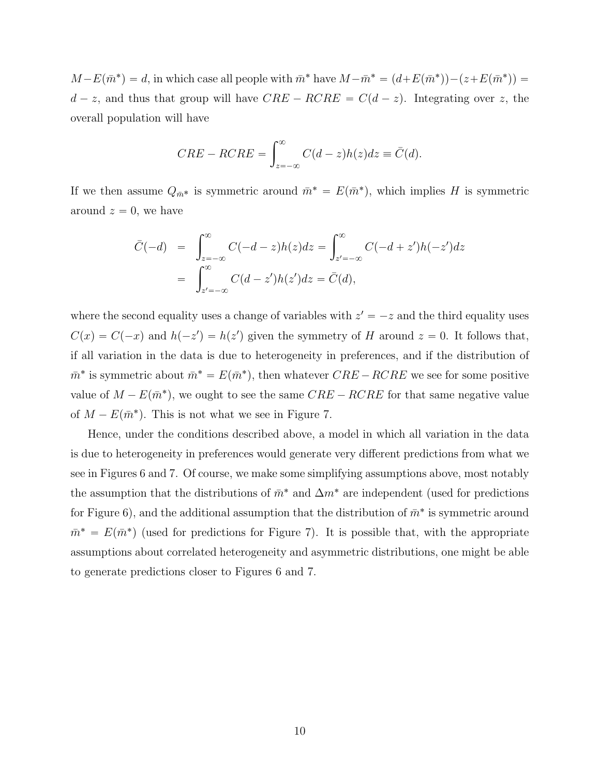$M - E(\bar{m}^*) = d$ , in which case all people with  $\bar{m}^*$  have  $M - \bar{m}^* = (d + E(\bar{m}^*)) - (z + E(\bar{m}^*)) =$  $d - z$ , and thus that group will have  $CRE - RCRE = C(d - z)$ . Integrating over *z*, the overall population will have

$$
CRE - RCRE = \int_{z=-\infty}^{\infty} C(d-z)h(z)dz \equiv \bar{C}(d).
$$

If we then assume  $Q_{\bar{m}^*}$  is symmetric around  $\bar{m}^* = E(\bar{m}^*)$ , which implies *H* is symmetric around  $z = 0$ , we have

$$
\bar{C}(-d) = \int_{z=-\infty}^{\infty} C(-d-z)h(z)dz = \int_{z'=-\infty}^{\infty} C(-d+z')h(-z')dz
$$

$$
= \int_{z'=-\infty}^{\infty} C(d-z')h(z')dz = \bar{C}(d),
$$

where the second equality uses a change of variables with  $z' = -z$  and the third equality uses  $C(x) = C(-x)$  and  $h(-z') = h(z')$  given the symmetry of *H* around  $z = 0$ . It follows that, if all variation in the data is due to heterogeneity in preferences, and if the distribution of  $\bar{m}^*$  is symmetric about  $\bar{m}^* = E(\bar{m}^*)$ , then whatever *CRE* – *RCRE* we see for some positive value of  $M - E(\bar{m}^*)$ , we ought to see the same *CRE* – *RCRE* for that same negative value of  $M - E(\bar{m}^*)$ . This is not what we see in Figure 7.

Hence, under the conditions described above, a model in which all variation in the data is due to heterogeneity in preferences would generate very different predictions from what we see in Figures 6 and 7. Of course, we make some simplifying assumptions above, most notably the assumption that the distributions of  $\bar{m}^*$  and  $\Delta m^*$  are independent (used for predictions for Figure 6), and the additional assumption that the distribution of  $\bar{m}^*$  is symmetric around  $\bar{m}^* = E(\bar{m}^*)$  (used for predictions for Figure 7). It is possible that, with the appropriate assumptions about correlated heterogeneity and asymmetric distributions, one might be able to generate predictions closer to Figures 6 and 7.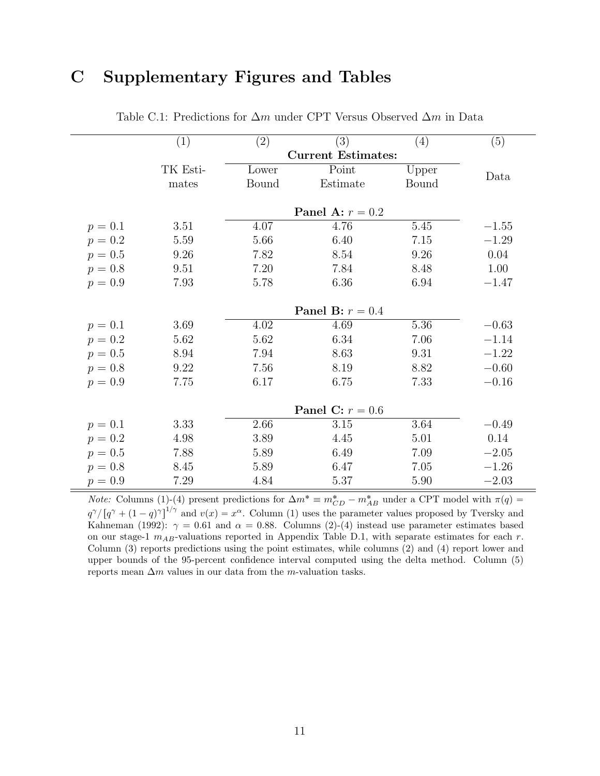# C Supplementary Figures and Tables

|           | (1)      | (2)   | (3)                       | (4)      | (5)     |
|-----------|----------|-------|---------------------------|----------|---------|
|           |          |       | <b>Current Estimates:</b> |          |         |
|           | TK Esti- | Lower | Point                     | Upper    | Data    |
|           | mates    | Bound | Estimate                  | Bound    |         |
|           |          |       |                           |          |         |
|           |          |       | Panel A: $r = 0.2$        |          |         |
| $p = 0.1$ | 3.51     | 4.07  | 4.76                      | 5.45     | $-1.55$ |
| $p = 0.2$ | 5.59     | 5.66  | 6.40                      | $7.15\,$ | $-1.29$ |
| $p = 0.5$ | 9.26     | 7.82  | 8.54                      | 9.26     | 0.04    |
| $p = 0.8$ | 9.51     | 7.20  | 7.84                      | 8.48     | 1.00    |
| $p = 0.9$ | 7.93     | 5.78  | 6.36                      | 6.94     | $-1.47$ |
|           |          |       |                           |          |         |
|           |          |       | <b>Panel B:</b> $r = 0.4$ |          |         |
| $p = 0.1$ | 3.69     | 4.02  | 4.69                      | 5.36     | $-0.63$ |
| $p = 0.2$ | 5.62     | 5.62  | 6.34                      | 7.06     | $-1.14$ |
| $p = 0.5$ | 8.94     | 7.94  | 8.63                      | 9.31     | $-1.22$ |
| $p = 0.8$ | $9.22\,$ | 7.56  | 8.19                      | 8.82     | $-0.60$ |
| $p = 0.9$ | 7.75     | 6.17  | 6.75                      | 7.33     | $-0.16$ |
|           |          |       |                           |          |         |
|           |          |       | Panel C: $r = 0.6$        |          |         |
| $p = 0.1$ | 3.33     | 2.66  | 3.15                      | 3.64     | $-0.49$ |
| $p = 0.2$ | 4.98     | 3.89  | 4.45                      | 5.01     | 0.14    |
| $p = 0.5$ | 7.88     | 5.89  | 6.49                      | 7.09     | $-2.05$ |
| $p = 0.8$ | 8.45     | 5.89  | 6.47                      | 7.05     | $-1.26$ |
| $p = 0.9$ | 7.29     | 4.84  | 5.37                      | 5.90     | $-2.03$ |

Table C.1: Predictions for  $\Delta m$  under CPT Versus Observed  $\Delta m$  in Data

*Note:* Columns (1)-(4) present predictions for  $\Delta m^* \equiv m^*_{CD} - m^*_{AB}$  under a CPT model with  $\pi(q) =$  $q^{\gamma}/[q^{\gamma} + (1-q)^{\gamma}]^{1/\gamma}$  and  $v(x) = x^{\alpha}$ . Column (1) uses the parameter values proposed by Tversky and Kahneman (1992):  $\gamma = 0.61$  and  $\alpha = 0.88$ . Columns (2)-(4) instead use parameter estimates based on our stage-1 *mAB*-valuations reported in Appendix Table D.1, with separate estimates for each *r*. Column (3) reports predictions using the point estimates, while columns (2) and (4) report lower and upper bounds of the 95-percent confidence interval computed using the delta method. Column (5) reports mean  $\Delta m$  values in our data from the *m*-valuation tasks.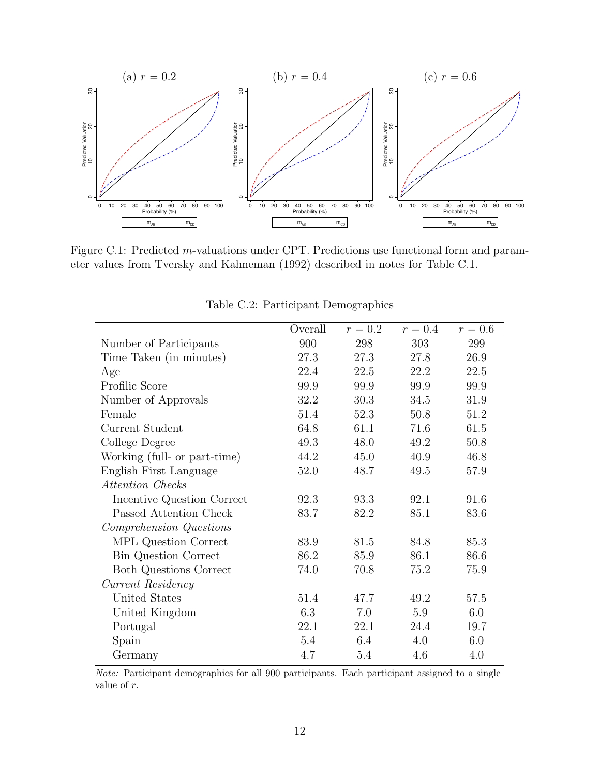

Figure C.1: Predicted *m*-valuations under CPT. Predictions use functional form and parameter values from Tversky and Kahneman (1992) described in notes for Table C.1.

|                              | Overall | $r = 0.2$ | $r = 0.4$ | $r = 0.6$ |
|------------------------------|---------|-----------|-----------|-----------|
| Number of Participants       | 900     | 298       | 303       | 299       |
| Time Taken (in minutes)      | 27.3    | 27.3      | 27.8      | 26.9      |
| Age                          | 22.4    | 22.5      | 22.2      | 22.5      |
| Profilic Score               | 99.9    | 99.9      | 99.9      | 99.9      |
| Number of Approvals          | 32.2    | 30.3      | 34.5      | 31.9      |
| Female                       | 51.4    | 52.3      | 50.8      | 51.2      |
| Current Student              | 64.8    | 61.1      | 71.6      | 61.5      |
| College Degree               | 49.3    | 48.0      | 49.2      | 50.8      |
| Working (full- or part-time) | 44.2    | 45.0      | 40.9      | 46.8      |
| English First Language       | 52.0    | 48.7      | 49.5      | 57.9      |
| Attention Checks             |         |           |           |           |
| Incentive Question Correct   | 92.3    | 93.3      | 92.1      | 91.6      |
| Passed Attention Check       | 83.7    | 82.2      | 85.1      | 83.6      |
| Comprehension Questions      |         |           |           |           |
| MPL Question Correct         | 83.9    | 81.5      | 84.8      | 85.3      |
| <b>Bin Question Correct</b>  | 86.2    | 85.9      | 86.1      | 86.6      |
| Both Questions Correct       | 74.0    | 70.8      | 75.2      | 75.9      |
| Current Residency            |         |           |           |           |
| United States                | 51.4    | 47.7      | 49.2      | 57.5      |
| United Kingdom               | 6.3     | 7.0       | 5.9       | 6.0       |
| Portugal                     | 22.1    | 22.1      | 24.4      | 19.7      |
| Spain                        | 5.4     | 6.4       | 4.0       | 6.0       |
| Germany                      | 4.7     | 5.4       | 4.6       | 4.0       |

Table C.2: Participant Demographics

*Note:* Participant demographics for all 900 participants. Each participant assigned to a single value of *r*.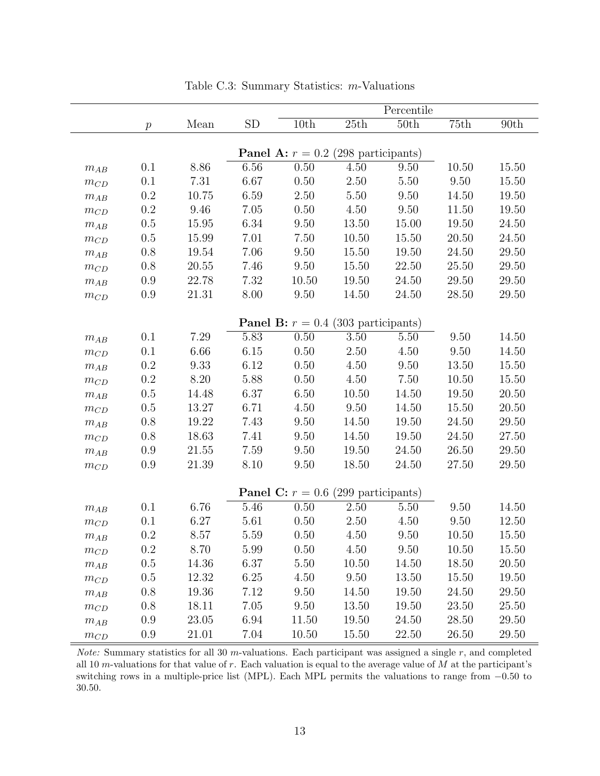|                       |                  |       |          | Percentile                                   |       |       |           |           |  |  |  |
|-----------------------|------------------|-------|----------|----------------------------------------------|-------|-------|-----------|-----------|--|--|--|
|                       | $\boldsymbol{p}$ | Mean  | SD       | 10th                                         | 25th  | 50th  | 75th      | 90th      |  |  |  |
|                       |                  |       |          |                                              |       |       |           |           |  |  |  |
|                       |                  |       |          | <b>Panel A:</b> $r = 0.2$ (298 participants) |       |       |           |           |  |  |  |
| $m_{AB}$              | 0.1              | 8.86  | 6.56     | 0.50                                         | 4.50  | 9.50  | 10.50     | 15.50     |  |  |  |
| $m_{CD}$              | 0.1              | 7.31  | 6.67     | 0.50                                         | 2.50  | 5.50  | 9.50      | 15.50     |  |  |  |
| $m_{AB}$              | 0.2              | 10.75 | 6.59     | 2.50                                         | 5.50  | 9.50  | 14.50     | 19.50     |  |  |  |
| $m_{\scriptstyle CD}$ | $0.2\,$          | 9.46  | 7.05     | 0.50                                         | 4.50  | 9.50  | 11.50     | 19.50     |  |  |  |
| $m_{AB}$              | $0.5\,$          | 15.95 | 6.34     | 9.50                                         | 13.50 | 15.00 | $19.50\,$ | 24.50     |  |  |  |
| $m_{CD}$              | 0.5              | 15.99 | 7.01     | 7.50                                         | 10.50 | 15.50 | 20.50     | 24.50     |  |  |  |
| $m_{AB}$              | $0.8\,$          | 19.54 | 7.06     | 9.50                                         | 15.50 | 19.50 | 24.50     | 29.50     |  |  |  |
| $m_{CD}$              | 0.8              | 20.55 | 7.46     | 9.50                                         | 15.50 | 22.50 | 25.50     | 29.50     |  |  |  |
| $m_{AB}$              | $0.9\,$          | 22.78 | 7.32     | 10.50                                        | 19.50 | 24.50 | 29.50     | 29.50     |  |  |  |
| $m_{\scriptstyle CD}$ | $0.9\,$          | 21.31 | 8.00     | $9.50\,$                                     | 14.50 | 24.50 | 28.50     | 29.50     |  |  |  |
|                       |                  |       |          | <b>Panel B:</b> $r = 0.4$ (303 participants) |       |       |           |           |  |  |  |
| $m_{AB}$              | 0.1              | 7.29  | 5.83     | 0.50                                         | 3.50  | 5.50  | 9.50      | 14.50     |  |  |  |
| $m_{CD}$              | 0.1              | 6.66  | $6.15\,$ | 0.50                                         | 2.50  | 4.50  | 9.50      | 14.50     |  |  |  |
| $m_{AB}$              | 0.2              | 9.33  | 6.12     | 0.50                                         | 4.50  | 9.50  | 13.50     | 15.50     |  |  |  |
| $m_{CD}$              | $0.2\,$          | 8.20  | 5.88     | 0.50                                         | 4.50  | 7.50  | 10.50     | 15.50     |  |  |  |
| $m_{AB}$              | 0.5              | 14.48 | 6.37     | 6.50                                         | 10.50 | 14.50 | 19.50     | 20.50     |  |  |  |
| $m_{CD}$              | $0.5\,$          | 13.27 | 6.71     | 4.50                                         | 9.50  | 14.50 | 15.50     | 20.50     |  |  |  |
| $m_{AB}$              | $0.8\,$          | 19.22 | 7.43     | 9.50                                         | 14.50 | 19.50 | 24.50     | 29.50     |  |  |  |
| $m_{CD}$              | $0.8\,$          | 18.63 | 7.41     | 9.50                                         | 14.50 | 19.50 | 24.50     | $27.50\,$ |  |  |  |
| $m_{AB}$              | 0.9              | 21.55 | 7.59     | 9.50                                         | 19.50 | 24.50 | 26.50     | 29.50     |  |  |  |
| $m_{\scriptstyle CD}$ | 0.9              | 21.39 | 8.10     | 9.50                                         | 18.50 | 24.50 | 27.50     | 29.50     |  |  |  |
|                       |                  |       |          | <b>Panel C:</b> $r = 0.6$ (299 participants) |       |       |           |           |  |  |  |
| $m_{AB}$              | 0.1              | 6.76  | 5.46     | 0.50                                         | 2.50  | 5.50  | 9.50      | 14.50     |  |  |  |
| $m_{\scriptstyle CD}$ | 0.1              | 6.27  | 5.61     | 0.50                                         | 2.50  | 4.50  | 9.50      | 12.50     |  |  |  |
| $m_{AB}$              | 0.2              | 8.57  | 5.59     | 0.50                                         | 4.50  | 9.50  | 10.50     | 15.50     |  |  |  |
| $m_{CD}$              | 0.2              | 8.70  | 5.99     | 0.50                                         | 4.50  | 9.50  | 10.50     | 15.50     |  |  |  |
| $m_{AB}$              | $0.5\,$          | 14.36 | 6.37     | 5.50                                         | 10.50 | 14.50 | 18.50     | 20.50     |  |  |  |
| $m_{CD}$              | 0.5              | 12.32 | 6.25     | 4.50                                         | 9.50  | 13.50 | 15.50     | 19.50     |  |  |  |
| $m_{AB}$              | 0.8              | 19.36 | 7.12     | 9.50                                         | 14.50 | 19.50 | 24.50     | 29.50     |  |  |  |
| $m_{\scriptstyle CD}$ | 0.8              | 18.11 | 7.05     | 9.50                                         | 13.50 | 19.50 | 23.50     | 25.50     |  |  |  |
| $m_{AB}$              | 0.9              | 23.05 | 6.94     | 11.50                                        | 19.50 | 24.50 | 28.50     | 29.50     |  |  |  |
| $m_{\scriptstyle CD}$ | 0.9              | 21.01 | 7.04     | 10.50                                        | 15.50 | 22.50 | 26.50     | 29.50     |  |  |  |

Table C.3: Summary Statistics: *m*-Valuations

*Note:* Summary statistics for all 30 *m*-valuations. Each participant was assigned a single *r*, and completed all 10 *m*-valuations for that value of *r*. Each valuation is equal to the average value of *M* at the participant's switching rows in a multiple-price list (MPL). Each MPL permits the valuations to range from  $-0.50$  to 30*.*50.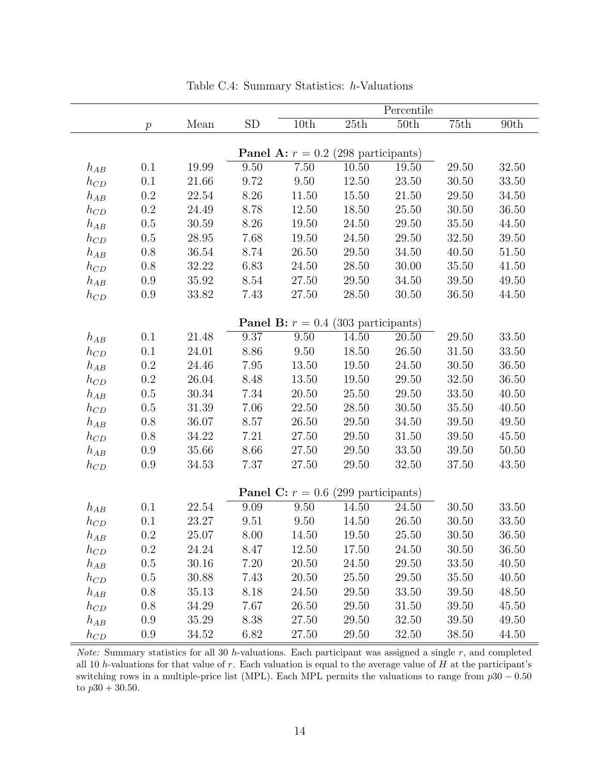|          | Percentile       |       |          |                                              |           |       |       |           |  |  |
|----------|------------------|-------|----------|----------------------------------------------|-----------|-------|-------|-----------|--|--|
|          | $\boldsymbol{p}$ | Mean  | SD       | 10th                                         | 25th      | 50th  | 75th  | 90th      |  |  |
|          |                  |       |          |                                              |           |       |       |           |  |  |
|          |                  |       |          | <b>Panel A:</b> $r = 0.2$ (298 participants) |           |       |       |           |  |  |
| $h_{AB}$ | 0.1              | 19.99 | 9.50     | 7.50                                         | 10.50     | 19.50 | 29.50 | 32.50     |  |  |
| $h_{CD}$ | 0.1              | 21.66 | 9.72     | 9.50                                         | 12.50     | 23.50 | 30.50 | 33.50     |  |  |
| $h_{AB}$ | 0.2              | 22.54 | 8.26     | 11.50                                        | 15.50     | 21.50 | 29.50 | 34.50     |  |  |
| $h_{CD}$ | $\rm 0.2$        | 24.49 | 8.78     | 12.50                                        | 18.50     | 25.50 | 30.50 | 36.50     |  |  |
| $h_{AB}$ | $0.5\,$          | 30.59 | 8.26     | 19.50                                        | 24.50     | 29.50 | 35.50 | 44.50     |  |  |
| $h_{CD}$ | 0.5              | 28.95 | 7.68     | 19.50                                        | 24.50     | 29.50 | 32.50 | 39.50     |  |  |
| $h_{AB}$ | $0.8\,$          | 36.54 | 8.74     | 26.50                                        | 29.50     | 34.50 | 40.50 | 51.50     |  |  |
| $h_{CD}$ | 0.8              | 32.22 | 6.83     | 24.50                                        | 28.50     | 30.00 | 35.50 | 41.50     |  |  |
| $h_{AB}$ | $0.9\,$          | 35.92 | $8.54\,$ | 27.50                                        | 29.50     | 34.50 | 39.50 | 49.50     |  |  |
| $h_{CD}$ | $0.9\,$          | 33.82 | 7.43     | 27.50                                        | 28.50     | 30.50 | 36.50 | 44.50     |  |  |
|          |                  |       |          | <b>Panel B:</b> $r = 0.4$ (303 participants) |           |       |       |           |  |  |
| $h_{AB}$ | 0.1              | 21.48 | 9.37     | 9.50                                         | 14.50     | 20.50 | 29.50 | 33.50     |  |  |
| $h_{CD}$ | 0.1              | 24.01 | 8.86     | 9.50                                         | 18.50     | 26.50 | 31.50 | 33.50     |  |  |
| $h_{AB}$ | 0.2              | 24.46 | 7.95     | 13.50                                        | 19.50     | 24.50 | 30.50 | 36.50     |  |  |
| $h_{CD}$ | $0.2\,$          | 26.04 | 8.48     | 13.50                                        | 19.50     | 29.50 | 32.50 | 36.50     |  |  |
| $h_{AB}$ | 0.5              | 30.34 | 7.34     | 20.50                                        | $25.50\,$ | 29.50 | 33.50 | 40.50     |  |  |
| $h_{CD}$ | 0.5              | 31.39 | 7.06     | 22.50                                        | 28.50     | 30.50 | 35.50 | 40.50     |  |  |
| $h_{AB}$ | $0.8\,$          | 36.07 | 8.57     | 26.50                                        | 29.50     | 34.50 | 39.50 | 49.50     |  |  |
| $h_{CD}$ | $0.8\,$          | 34.22 | 7.21     | 27.50                                        | 29.50     | 31.50 | 39.50 | $45.50\,$ |  |  |
| $h_{AB}$ | 0.9              | 35.66 | 8.66     | 27.50                                        | 29.50     | 33.50 | 39.50 | 50.50     |  |  |
| $h_{CD}$ | 0.9              | 34.53 | 7.37     | 27.50                                        | 29.50     | 32.50 | 37.50 | 43.50     |  |  |
|          |                  |       |          |                                              |           |       |       |           |  |  |
|          |                  |       |          | <b>Panel C:</b> $r = 0.6$ (299 participants) |           |       |       |           |  |  |
| $h_{AB}$ | 0.1              | 22.54 | 9.09     | 9.50                                         | 14.50     | 24.50 | 30.50 | 33.50     |  |  |
| $h_{CD}$ | 0.1              | 23.27 | 9.51     | 9.50                                         | 14.50     | 26.50 | 30.50 | 33.50     |  |  |
| $h_{AB}$ | $0.2\,$          | 25.07 | $8.00\,$ | 14.50                                        | 19.50     | 25.50 | 30.50 | 36.50     |  |  |
| $h_{CD}$ | $0.2\,$          | 24.24 | 8.47     | 12.50                                        | 17.50     | 24.50 | 30.50 | 36.50     |  |  |
| $h_{AB}$ | 0.5              | 30.16 | 7.20     | 20.50                                        | 24.50     | 29.50 | 33.50 | 40.50     |  |  |
| $h_{CD}$ | 0.5              | 30.88 | 7.43     | 20.50                                        | 25.50     | 29.50 | 35.50 | 40.50     |  |  |
| $h_{AB}$ | 0.8              | 35.13 | 8.18     | 24.50                                        | 29.50     | 33.50 | 39.50 | 48.50     |  |  |
| $h_{CD}$ | 0.8              | 34.29 | $7.67\,$ | 26.50                                        | 29.50     | 31.50 | 39.50 | 45.50     |  |  |
| $h_{AB}$ | 0.9              | 35.29 | 8.38     | 27.50                                        | 29.50     | 32.50 | 39.50 | 49.50     |  |  |
| $h_{CD}$ | 0.9              | 34.52 | 6.82     | 27.50                                        | 29.50     | 32.50 | 38.50 | 44.50     |  |  |

Table C.4: Summary Statistics: *h*-Valuations

*Note:* Summary statistics for all 30 *h*-valuations. Each participant was assigned a single *r*, and completed all 10 *h*-valuations for that value of *r*. Each valuation is equal to the average value of *H* at the participant's switching rows in a multiple-price list (MPL). Each MPL permits the valuations to range from  $p30 - 0.50$ to  $p30 + 30.50$ .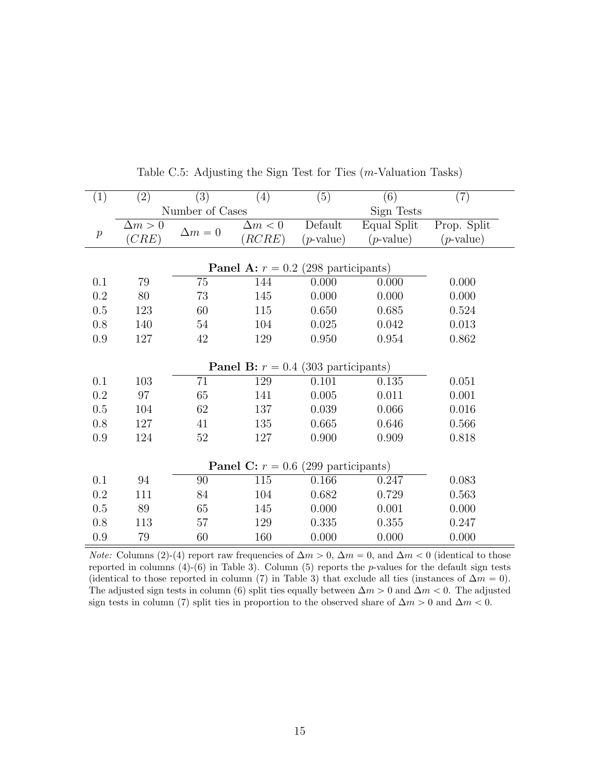| $\left( 1\right)$ | (2)                                          | (3)             | (4)                                          | (5)                | (6)          | (7)          |  |  |  |
|-------------------|----------------------------------------------|-----------------|----------------------------------------------|--------------------|--------------|--------------|--|--|--|
|                   |                                              | Number of Cases |                                              |                    | Sign Tests   |              |  |  |  |
|                   | $\Delta m > 0$                               | $\Delta m = 0$  | $\Delta m < 0$                               | Default            | Equal Split  | Prop. Split  |  |  |  |
| $\boldsymbol{p}$  | (CRE)                                        |                 | RCRE                                         | $(p\text{-value})$ | $(p$ -value) | $(p$ -value) |  |  |  |
|                   |                                              |                 |                                              |                    |              |              |  |  |  |
|                   | <b>Panel A:</b> $r = 0.2$ (298 participants) |                 |                                              |                    |              |              |  |  |  |
| 0.1               | 79                                           | 75              | 144                                          | 0.000              | 0.000        | 0.000        |  |  |  |
| 0.2               | 80                                           | 73              | 145                                          | 0.000              | 0.000        | 0.000        |  |  |  |
| 0.5               | 123                                          | 60              | 115                                          | 0.650              | 0.685        | 0.524        |  |  |  |
| 0.8               | 140                                          | 54              | 104                                          | 0.025              | 0.042        | 0.013        |  |  |  |
| 0.9               | 127                                          | 42              | 129                                          | 0.950              | 0.954        | 0.862        |  |  |  |
|                   |                                              |                 |                                              |                    |              |              |  |  |  |
|                   |                                              |                 | <b>Panel B:</b> $r = 0.4$ (303 participants) |                    |              |              |  |  |  |
| 0.1               | 103                                          | 71              | 129                                          | 0.101              | 0.135        | 0.051        |  |  |  |
| 0.2               | 97                                           | 65              | 141                                          | 0.005              | 0.011        | 0.001        |  |  |  |
| 0.5               | 104                                          | 62              | 137                                          | 0.039              | 0.066        | 0.016        |  |  |  |
| 0.8               | 127                                          | 41              | 135                                          | 0.665              | 0.646        | 0.566        |  |  |  |
| 0.9               | 124                                          | 52              | 127                                          | 0.900              | 0.909        | 0.818        |  |  |  |
|                   |                                              |                 |                                              |                    |              |              |  |  |  |
|                   |                                              |                 | <b>Panel C:</b> $r = 0.6$ (299 participants) |                    |              |              |  |  |  |
| 0.1               | 94                                           | 90              | 115                                          | 0.166              | 0.247        | 0.083        |  |  |  |
| 0.2               | 111                                          | 84              | 104                                          | 0.682              | 0.729        | 0.563        |  |  |  |
| 0.5               | 89                                           | 65              | 145                                          | 0.000              | 0.001        | 0.000        |  |  |  |
| 0.8               | 113                                          | 57              | 129                                          | 0.335              | 0.355        | 0.247        |  |  |  |
| 0.9               | 79                                           | 60              | 160                                          | 0.000              | 0.000        | 0.000        |  |  |  |

Table C.5: Adjusting the Sign Test for Ties (*m*-Valuation Tasks)

*Note:* Columns (2)-(4) report raw frequencies of  $\Delta m > 0$ ,  $\Delta m = 0$ , and  $\Delta m < 0$  (identical to those reported in columns (4)-(6) in Table 3). Column (5) reports the *p*-values for the default sign tests (identical to those reported in column (7) in Table 3) that exclude all ties (instances of  $\Delta m = 0$ ). The adjusted sign tests in column (6) split ties equally between  $\Delta m > 0$  and  $\Delta m < 0$ . The adjusted sign tests in column (7) split ties in proportion to the observed share of  $\Delta m > 0$  and  $\Delta m < 0$ .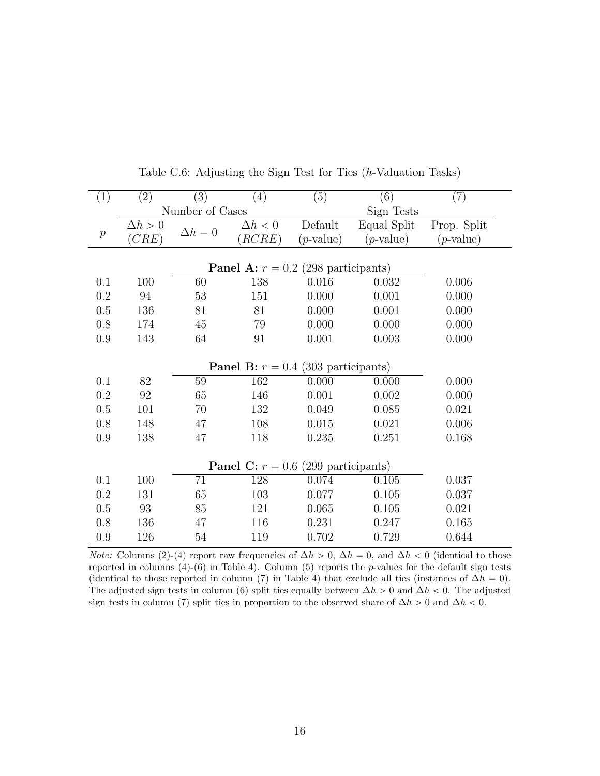| (1)              | (2)            | (3)             | (4)                                          | (5)                | (6)          | (7)                |  |  |  |
|------------------|----------------|-----------------|----------------------------------------------|--------------------|--------------|--------------------|--|--|--|
|                  |                | Number of Cases |                                              |                    | Sign Tests   |                    |  |  |  |
|                  | $\Delta h > 0$ | $\Delta h = 0$  | $\Delta h < 0$                               | Default            | Equal Split  | Prop. Split        |  |  |  |
| $\boldsymbol{p}$ | (CRE)          |                 | (RCRE)                                       | $(p\text{-value})$ | $(p$ -value) | $(p\text{-value})$ |  |  |  |
|                  |                |                 |                                              |                    |              |                    |  |  |  |
|                  |                |                 |                                              |                    |              |                    |  |  |  |
| 0.1              | 100            | 60              | 138                                          | 0.016              | 0.032        | 0.006              |  |  |  |
| 0.2              | 94             | 53              | 151                                          | 0.000              | 0.001        | 0.000              |  |  |  |
| 0.5              | 136            | 81              | 81                                           | 0.000              | 0.001        | 0.000              |  |  |  |
| 0.8              | 174            | 45              | 79                                           | 0.000              | 0.000        | 0.000              |  |  |  |
| 0.9              | 143            | 64              | 91                                           | 0.001              | 0.003        | 0.000              |  |  |  |
|                  |                |                 |                                              |                    |              |                    |  |  |  |
|                  |                |                 | <b>Panel B:</b> $r = 0.4$ (303 participants) |                    |              |                    |  |  |  |
| 0.1              | 82             | 59              | 162                                          | 0.000              | 0.000        | 0.000              |  |  |  |
| 0.2              | 92             | 65              | 146                                          | 0.001              | 0.002        | 0.000              |  |  |  |
| 0.5              | 101            | 70              | 132                                          | 0.049              | 0.085        | 0.021              |  |  |  |
| 0.8              | 148            | 47              | 108                                          | 0.015              | 0.021        | 0.006              |  |  |  |
| 0.9              | 138            | 47              | 118                                          | 0.235              | 0.251        | 0.168              |  |  |  |
|                  |                |                 |                                              |                    |              |                    |  |  |  |
|                  |                |                 | <b>Panel C:</b> $r = 0.6$ (299 participants) |                    |              |                    |  |  |  |
| 0.1              | 100            | 71              | 128                                          | 0.074              | 0.105        | 0.037              |  |  |  |
| 0.2              | 131            | 65              | 103                                          | 0.077              | 0.105        | 0.037              |  |  |  |
| 0.5              | 93             | 85              | 121                                          | 0.065              | 0.105        | 0.021              |  |  |  |
| 0.8              | 136            | 47              | 116                                          | 0.231              | 0.247        | 0.165              |  |  |  |
| 0.9              | 126            | $54\,$          | 119                                          | 0.702              | 0.729        | 0.644              |  |  |  |

Table C.6: Adjusting the Sign Test for Ties (*h*-Valuation Tasks)

*Note:* Columns (2)-(4) report raw frequencies of  $\Delta h > 0$ ,  $\Delta h = 0$ , and  $\Delta h < 0$  (identical to those reported in columns (4)-(6) in Table 4). Column (5) reports the *p*-values for the default sign tests (identical to those reported in column (7) in Table 4) that exclude all ties (instances of  $\Delta h = 0$ ). The adjusted sign tests in column (6) split ties equally between  $\Delta h > 0$  and  $\Delta h < 0$ . The adjusted sign tests in column (7) split ties in proportion to the observed share of  $\Delta h > 0$  and  $\Delta h < 0$ .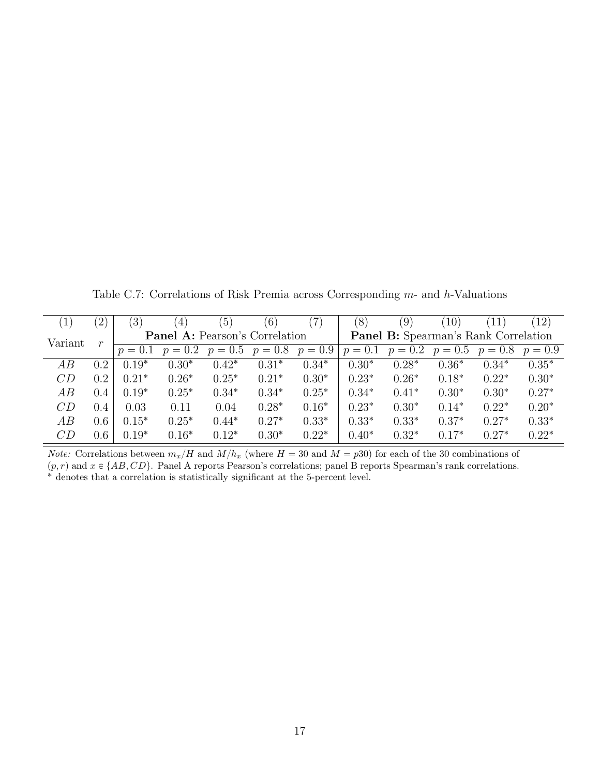Table C.7: Correlations of Risk Premia across Corresponding *m*- and *h*-Valuations

|         | $^{\prime}2)$ | (3)       | $\left(4\right)$                      | (5)       | $\left(6\right)$ | $^{\prime}7)$ | (8)       | $\left( 9\right)$ | 10)                                         | 11)       | 12)       |
|---------|---------------|-----------|---------------------------------------|-----------|------------------|---------------|-----------|-------------------|---------------------------------------------|-----------|-----------|
| Variant | r             |           | <b>Panel A:</b> Pearson's Correlation |           |                  |               |           |                   | <b>Panel B:</b> Spearman's Rank Correlation |           |           |
|         |               | $p = 0.1$ | $p = 0.2$                             | $p = 0.5$ | $p = 0.8$        | $p = 0.9$     | $p = 0.1$ | $p = 0.2$         | $p = 0.5$                                   | $p = 0.8$ | $p = 0.9$ |
| AВ      | 0.2           | $0.19*$   | $0.30*$                               | $0.42*$   | $0.31*$          | $0.34*$       | $0.30*$   | $0.28*$           | $0.36*$                                     | $0.34*$   | $0.35*$   |
| CD      | 0.2           | $0.21*$   | $0.26*$                               | $0.25*$   | $0.21*$          | $0.30*$       | $0.23*$   | $0.26*$           | $0.18*$                                     | $0.22*$   | $0.30*$   |
| AB      | 0.4           | $0.19*$   | $0.25*$                               | $0.34*$   | $0.34*$          | $0.25*$       | $0.34*$   | $0.41*$           | $0.30*$                                     | $0.30*$   | $0.27*$   |
| CD      | 0.4           | 0.03      | 0.11                                  | 0.04      | $0.28*$          | $0.16*$       | $0.23*$   | $0.30*$           | $0.14*$                                     | $0.22*$   | $0.20*$   |
| AВ      | 0.6           | $0.15*$   | $0.25*$                               | $0.44*$   | $0.27*$          | $0.33*$       | $0.33*$   | $0.33*$           | $0.37*$                                     | $0.27*$   | $0.33*$   |
| CD      | 0.6           | $0.19*$   | $0.16*$                               | $0.12*$   | $0.30*$          | $0.22*$       | $0.40*$   | $0.32*$           | $0.17*$                                     | $0.27*$   | $0.22*$   |

*Note:* Correlations between  $m_x/H$  and  $M/h_x$  (where  $H = 30$  and  $M = p30$ ) for each of the 30 combinations of  $(p, r)$  and  $x \in \{AB, CD\}$ . Panel A reports Pearson's correlations; panel B reports Spearman's rank correlations. <sup>\*</sup> denotes that a correlation is statistically significant at the 5-percent level.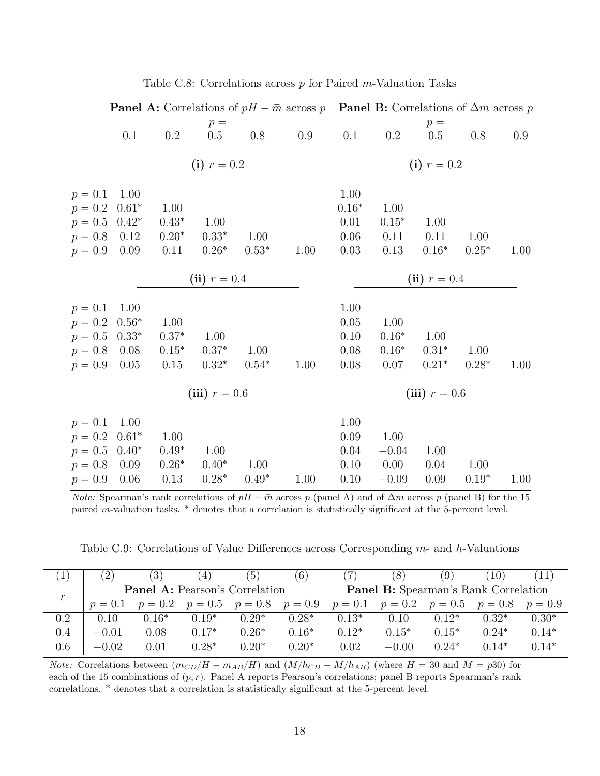|                        | <b>Panel A:</b> Correlations of $pH - \overline{m}$ across p <b>Panel B:</b> Correlations of $\Delta m$ across p |          |                 |         |      |               |          |                 |         |      |  |
|------------------------|------------------------------------------------------------------------------------------------------------------|----------|-----------------|---------|------|---------------|----------|-----------------|---------|------|--|
|                        |                                                                                                                  |          | $p =$           |         |      |               |          | $p =$           |         |      |  |
|                        | 0.1                                                                                                              | $0.2\,$  | $0.5\,$         | 0.8     | 0.9  | 0.1           | $0.2\,$  | $0.5\,$         | 0.8     | 0.9  |  |
|                        |                                                                                                                  |          | (i) $r = 0.2$   |         |      | (i) $r = 0.2$ |          |                 |         |      |  |
|                        |                                                                                                                  |          |                 |         |      |               |          |                 |         |      |  |
| $p = 0.1$              | 1.00                                                                                                             |          |                 |         |      | 1.00          |          |                 |         |      |  |
| $p = 0.2$              | $0.61*$                                                                                                          | 1.00     |                 |         |      | $0.16*$       | 1.00     |                 |         |      |  |
| $p = 0.5 \quad 0.42^*$ |                                                                                                                  | $0.43*$  | 1.00            |         |      | 0.01          | $0.15*$  | 1.00            |         |      |  |
| $p = 0.8$ 0.12         |                                                                                                                  | $0.20*$  | $0.33*$         | 1.00    |      | 0.06          | 0.11     | 0.11            | 1.00    |      |  |
| $p = 0.9$              | 0.09                                                                                                             | 0.11     | $0.26*$         | $0.53*$ | 1.00 | 0.03          | $0.13\,$ | $0.16*$         | $0.25*$ | 1.00 |  |
| (ii) $r = 0.4$         |                                                                                                                  |          |                 |         |      |               |          | (ii) $r = 0.4$  |         |      |  |
|                        |                                                                                                                  |          |                 |         |      |               |          |                 |         |      |  |
| $p = 0.1$              | 1.00                                                                                                             |          |                 |         |      | 1.00          |          |                 |         |      |  |
| $p = 0.2$              | $0.56^{\ast}$                                                                                                    | 1.00     |                 |         |      | 0.05          | 1.00     |                 |         |      |  |
| $p = 0.5 \quad 0.33^*$ |                                                                                                                  | $0.37*$  | 1.00            |         |      | $0.10\,$      | $0.16*$  | 1.00            |         |      |  |
| $p = 0.8$ 0.08         |                                                                                                                  | $0.15*$  | $0.37*$         | 1.00    |      | 0.08          | $0.16*$  | $0.31*$         | 1.00    |      |  |
| $p = 0.9$              | 0.05                                                                                                             | 0.15     | $0.32*$         | $0.54*$ | 1.00 | $0.08\,$      | 0.07     | $0.21*$         | $0.28*$ | 1.00 |  |
|                        |                                                                                                                  |          | (iii) $r = 0.6$ |         |      |               |          | (iii) $r = 0.6$ |         |      |  |
|                        |                                                                                                                  |          |                 |         |      |               |          |                 |         |      |  |
| $p = 0.1$              | 1.00                                                                                                             |          |                 |         |      | 1.00          |          |                 |         |      |  |
| $p = 0.2$              | $0.61*$                                                                                                          | 1.00     |                 |         |      | 0.09          | 1.00     |                 |         |      |  |
| $p = 0.5$              | $0.40*$                                                                                                          | $0.49*$  | 1.00            |         |      | 0.04          | $-0.04$  | 1.00            |         |      |  |
| $p = 0.8$              | 0.09                                                                                                             | $0.26*$  | $0.40*$         | 1.00    |      | 0.10          | 0.00     | 0.04            | 1.00    |      |  |
| $p = 0.9$              | 0.06                                                                                                             | $0.13\,$ | $0.28*$         | $0.49*$ | 1.00 | 0.10          | $-0.09$  | 0.09            | $0.19*$ | 1.00 |  |

Table C.8: Correlations across *p* for Paired *m*-Valuation Tasks

*Note:* Spearman's rank correlations of  $pH - \overline{m}$  across  $p$  (panel A) and of  $\Delta m$  across  $p$  (panel B) for the 15 paired *m*-valuation tasks. ˚ denotes that a correlation is statistically significant at the 5-percent level.

Table C.9: Correlations of Value Differences across Corresponding  $m$ - and  $h$ -Valuations

|     | $\mathbf{2}^{\mathbf{\cdot}}$ | (3)       | 4                                     | $\lceil 5 \rceil$ | (6)       |           | 8                                           | (9)       | 10)       |           |
|-----|-------------------------------|-----------|---------------------------------------|-------------------|-----------|-----------|---------------------------------------------|-----------|-----------|-----------|
| r   |                               |           | <b>Panel A:</b> Pearson's Correlation |                   |           |           | <b>Panel B:</b> Spearman's Rank Correlation |           |           |           |
|     | $p = 0.1$                     | $p = 0.2$ | $p = 0.5$                             | $p = 0.8$         | $p = 0.9$ | $p = 0.1$ | $p = 0.2$                                   | $p = 0.5$ | $p = 0.8$ | $p = 0.9$ |
| 0.2 | 0.10                          | $0.16*$   | $0.19*$                               | $0.29*$           | $0.28*$   | $0.13*$   | 0.10                                        | $0.12*$   | $0.32*$   | $0.30*$   |
| 0.4 | $-0.01$                       | 0.08      | $0.17*$                               | $0.26*$           | $0.16*$   | $0.12*$   | $0.15*$                                     | $0.15*$   | $0.24*$   | $0.14*$   |
| 0.6 | $-0.02$                       | 0.01      | $0.28*$                               | $0.20*$           | $0.20*$   | 0.02      | $-0.00$                                     | $0.24*$   | $0.14*$   | $0.14*$   |

*Note:* Correlations between  $(m_{CD}/H - m_{AB}/H)$  and  $(M/h_{CD} - M/h_{AB})$  (where  $H = 30$  and  $M = p30$ ) for each of the 15 combinations of  $(p, r)$ . Panel A reports Pearson's correlations; panel B reports Spearman's rank correlations. ˚ denotes that a correlation is statistically significant at the 5-percent level.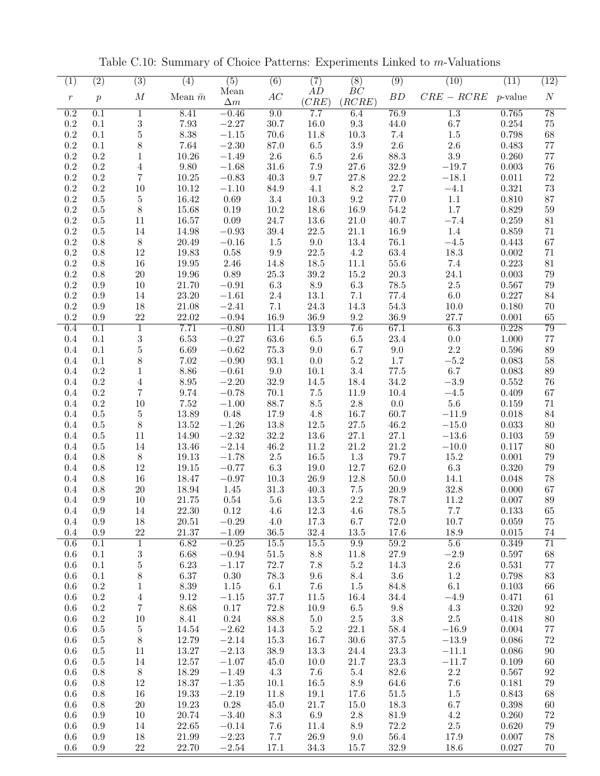| (1)              | $\overline{(2)}$ | $\overline{(3)}$         | $\overline{(4)}$  | $\overline{(5)}$   | $\overline{(6)}$ | (7)                | $\overline{(8)}$       | $\left( 9\right)$ | (10)               | (11)           | $\overline{(12)}$     |
|------------------|------------------|--------------------------|-------------------|--------------------|------------------|--------------------|------------------------|-------------------|--------------------|----------------|-----------------------|
| $\,r\,$          | $\boldsymbol{p}$ | $\cal M$                 | Mean $\bar{m}$    | Mean<br>$\Delta m$ | AC               | AD<br>(CRE)        | BC<br>(RCRE)           | BD                | $CRE - RCRE$       | $p$ -value     | $\boldsymbol{N}$      |
| $\overline{0.2}$ | 0.1              | 1                        | 8.41              | $-0.46$            | 9.0              | 7.7                | 6.4                    | 76.9              | $\overline{1.3}$   | 0.765          | $\overline{78}$       |
| $\rm 0.2$        | $0.1\,$          | $\sqrt{3}$               | $7.93\,$          | $-2.27$            | 30.7             | $16.0\,$           | $\rm 9.3$              | $44.0\,$          | 6.7                | 0.254          | $75\,$                |
| 0.2              | 0.1              | $\bf 5$                  | 8.38              | $-1.15$            | 70.6             | 11.8               | 10.3                   | 7.4               | $1.5\,$            | 0.798          | 68                    |
| 0.2              | 0.1              | $8\,$                    | 7.64              | $-2.30$            | 87.0             | $6.5\,$            | $3.9\,$                | $2.6\,$           | 2.6                | 0.483          | $77\,$                |
| 0.2              | 0.2              | 1                        | 10.26             | $-1.49$            | $2.6\,$          | $6.5\,$            | $2.6\,$                | $88.3\,$          | $3.9\,$            | 0.260          | 77                    |
| 0.2              | 0.2              | 4                        | 9.80              | $-1.68$            | 31.6             | 7.9                | 27.6                   | 32.9              | $-19.7$            | 0.003          | 76                    |
| 0.2<br>0.2       | 0.2<br>0.2       | 7                        | 10.25             | $-0.83$            | 40.3             | 9.7                | $27.8\,$               | 22.2<br>2.7       | $-18.1$            | 0.011          | $72\,$                |
| $0.2\,$          | 0.5              | $10\,$<br>$\bf 5$        | 10.12<br>16.42    | $-1.10$<br>0.69    | 84.9<br>$3.4\,$  | 4.1<br>10.3        | $8.2\,$<br>9.2         | 77.0              | $-4.1$<br>1.1      | 0.321<br>0.810 | 73<br>87              |
| 0.2              | $0.5\,$          | $8\,$                    | 15.68             | 0.19               | $10.2\,$         | 18.6               | 16.9                   | 54.2              | 1.7                | 0.829          | 59                    |
| 0.2              | 0.5              | 11                       | 16.57             | $0.09\,$           | 24.7             | 13.6               | 21.0                   | 40.7              | $-7.4$             | 0.259          | 81                    |
| 0.2              | 0.5              | 14                       | 14.98             | $-0.93$            | 39.4             | 22.5               | 21.1                   | 16.9              | 1.4                | 0.859          | 71                    |
| 0.2              | 0.8              | $8\,$                    | 20.49             | $-0.16$            | 1.5              | 9.0                | 13.4                   | 76.1              | $-4.5\,$           | 0.443          | 67                    |
| 0.2              | 0.8              | 12                       | 19.83             | $0.58\,$           | $9.9\,$          | $22.5\,$           | 4.2                    | 63.4              | 18.3               | $0.002\,$      | 71                    |
| 0.2              | 0.8              | $16\,$                   | 19.95             | $2.46\,$           | 14.8             | 18.5               | 11.1                   | $55.6\,$          | $7.4\,$            | 0.223          | 81                    |
| 0.2              | 0.8              | $20\,$                   | 19.96             | 0.89               | $25.3\,$         | $39.2\,$           | 15.2                   | $20.3\,$          | 24.1               | 0.003          | 79                    |
| 0.2              | 0.9              | 10                       | 21.70             | $-0.91$            | $6.3\,$          | $\!\!\!\!\!8.9$    | $6.3\,$                | $78.5\,$          | $2.5\,$            | 0.567          | 79                    |
| 0.2              | 0.9              | 14                       | 23.20             | $-1.61$            | $2.4\,$          | $13.1\,$           | 7.1                    | 77.4              | 6.0                | 0.227          | 84                    |
| 0.2              | 0.9              | 18                       | 21.08             | $-2.41$            | 7.1              | $24.3\,$           | 14.3                   | $54.3\,$          | 10.0               | 0.180          | 70                    |
| 0.2              | 0.9              | 22                       | 22.02             | $-0.94$            | 16.9             | 36.9               | $\,9.2$                | 36.9              | 27.7               | 0.001          | 65                    |
| 0.4              | 0.1              | $\overline{1}$           | 7.71              | $-0.80$            | 11.4             | 13.9               | 7.6                    | 67.1              | 6.3                | 0.228          | 79                    |
| 0.4              | 0.1              | $\sqrt{3}$               | 6.53              | $-0.27$            | 63.6             | $6.5\,$            | 6.5                    | 23.4              | 0.0                | 1.000          | $77\,$                |
| 0.4<br>0.4       | 0.1<br>0.1       | $\bf 5$<br>$8\,$         | 6.69<br>7.02      | $-0.62$<br>$-0.90$ | 75.3<br>93.1     | $9.0\,$<br>$0.0\,$ | 6.7<br>$5.2\,$         | $9.0\,$<br>1.7    | 2.2<br>$-5.2$      | 0.596<br>0.083 | 89<br>58              |
| 0.4              | $\rm 0.2$        | $\mathbf{1}$             | 8.86              | $-0.61$            | $9.0\,$          | $10.1\,$           | $3.4\,$                | $77.5\,$          | 6.7                | 0.083          | 89                    |
| 0.4              | 0.2              | $\,4\,$                  | $8.95\,$          | $-2.20$            | 32.9             | 14.5               | 18.4                   | $34.2\,$          | $-3.9$             | 0.552          | 76                    |
| 0.4              | 0.2              | $\,7$                    | 9.74              | $-0.78$            | $70.1\,$         | $7.5\,$            | 11.9                   | $10.4\,$          | $-4.5\,$           | 0.409          | 67                    |
| 0.4              | $\rm 0.2$        | 10                       | 7.52              | $-1.00$            | 88.7             | $\!\!\!\!\!8.5$    | $2.8\,$                | 0.0               | $5.6\,$            | 0.159          | 71                    |
| 0.4              | 0.5              | 5                        | $13.89\,$         | 0.48               | 17.9             | $4.8\,$            | 16.7                   | 60.7              | $-11.9$            | 0.018          | 84                    |
| 0.4              | 0.5              | $8\,$                    | 13.52             | $-1.26$            | 13.8             | $12.5\,$           | $27.5\,$               | 46.2              | $-15.0\,$          | 0.033          | 80                    |
| 0.4              | 0.5              | 11                       | 14.90             | $-2.32$            | $32.2\,$         | 13.6               | $27.1\,$               | 27.1              | $-13.6$            | 0.103          | 59                    |
| 0.4              | 0.5              | $14\,$                   | 13.46             | $-2.14$            | 46.2             | 11.2               | 21.2                   | 21.2              | $-10.0\,$          | 0.117          | 80                    |
| 0.4              | 0.8              | $8\,$                    | 19.13             | $-1.78$            | $2.5\,$          | 16.5               | $1.3\,$                | 79.7              | 15.2               | 0.001          | 79                    |
| 0.4              | 0.8              | 12                       | 19.15             | $-0.77$            | $6.3\,$          | 19.0               | 12.7                   | $62.0\,$          | $6.3\,$            | 0.320          | 79                    |
| 0.4              | 0.8              | 16                       | 18.47             | $-0.97$            | 10.3             | 26.9               | 12.8                   | 50.0              | 14.1               | 0.048          | 78                    |
| 0.4              | 0.8              | $20\,$                   | 18.94             | 1.45               | 31.3             | 40.3               | $7.5\,$                | 20.9              | 32.8               | 0.000          | 67                    |
| 0.4              | 0.9              | 10                       | 21.75             | 0.54               | 5.6              | 13.5               | $2.2\,$                | 78.7              | 11.2               | 0.007          | 89                    |
| 0.4              | $\rm 0.9$        | 14                       | $22.30\,$         | 0.12               | $4.6\,$          | $12.3\,$           | $4.6\,$                | $78.5\,$          | 7.7                | 0.133          | $65\,$                |
| 0.4              | 0.9              | 18                       | 20.51             | $-0.29$            | 4.0              | 17.3               | 6.7                    | 72.0              | 10.7               | 0.059          | 75                    |
| 0.4<br>0.6       | 0.9<br>0.1       | $22\,$<br>$\overline{1}$ | $21.37\,$<br>6.82 | $-1.09$<br>$-0.25$ | 36.5<br>15.5     | $32.4\,$<br>15.5   | 13.5<br>9.9            | 17.6<br>59.2      | 18.9<br>5.6        | 0.015<br>0.349 | 74<br>$\overline{71}$ |
| 0.6              | $0.1\,$          | $\,3$                    | 6.68              | $-0.94$            | $51.5\,$         | 8.8                | 11.8                   | 27.9              | $-2.9$             | $0.597\,$      | 68                    |
| $0.6\,$          | $0.1\,$          | $\bf 5$                  | 6.23              | $-1.17$            | 72.7             | $7.8\,$            | $5.2\,$                | 14.3              | $2.6\,$            | 0.531          | $77\,$                |
| 0.6              | 0.1              | $8\,$                    | 6.37              | $0.30\,$           | 78.3             | $9.6\,$            | 8.4                    | $3.6\,$           | 1.2                | 0.798          | 83                    |
| 0.6              | 0.2              | $\mathbf{1}$             | 8.39              | 1.15               | 6.1              | 7.6                | 1.5                    | 84.8              | 6.1                | 0.103          | 66                    |
| 0.6              | $\rm 0.2$        | $\overline{4}$           | 9.12              | $-1.15$            | 37.7             | 11.5               | 16.4                   | 34.4              | $-4.9\,$           | 0.471          | 61                    |
| 0.6              | $0.2\,$          | $\overline{7}$           | 8.68              | 0.17               | 72.8             | $10.9\,$           | 6.5                    | 9.8               | 4.3                | 0.320          | $\boldsymbol{92}$     |
| 0.6              | $\rm 0.2$        | 10                       | 8.41              | 0.24               | 88.8             | $5.0\,$            | 2.5                    | $3.8\,$           | 2.5                | 0.418          | $80\,$                |
| 0.6              | 0.5              | $\bf 5$                  | 14.54             | $-2.62$            | 14.3             | $5.2\,$            | $22.1\,$               | 58.4              | $-16.9$            | 0.004          | $77\,$                |
| 0.6              | $0.5\,$          | $8\,$                    | 12.79             | $-2.14$            | 15.3             | 16.7               | $30.6\,$               | 37.5              | $-13.9$            | 0.086          | $72\,$                |
| 0.6              | $0.5\,$          | 11                       | 13.27             | $-2.13$            | $38.9\,$         | $13.3\,$           | 24.4                   | 23.3              | $-11.1$            | 0.086          | $90\,$                |
| 0.6              | $0.5\,$          | 14                       | 12.57             | $-1.07$            | 45.0             | 10.0               | 21.7                   | $23.3\,$          | $-11.7$            | 0.109          | 60                    |
| 0.6              | 0.8              | $8\,$                    | 18.29             | $-1.49$            | 4.3              | 7.6                | 5.4                    | 82.6              | $2.2\,$            | 0.567          | $\boldsymbol{92}$     |
| 0.6              | 0.8              | $12\,$                   | 18.37             | $-1.35$            | 10.1             | 16.5               | $\ \, 8.9$             | 64.6              | 7.6                | 0.181          | 79                    |
| $0.6\,$          | $0.8\,$          | $16\,$                   | $19.33\,$         | $-2.19$            | 11.8             | 19.1               | 17.6                   | 51.5              | $1.5\,$            | 0.843          | 68                    |
| 0.6              | 0.8              | $20\,$                   | 19.23             | $0.28\,$           | 45.0             | 21.7               | 15.0                   | 18.3              | 6.7                | $0.398\,$      | 60                    |
| 0.6              | $\rm 0.9$        | 10                       | 20.74             | $-3.40$            | $\!\!\!\!\!8.3$  | $6.9\,$            | $2.8\,$                | $81.9\,$<br>72.2  | $4.2\,$<br>$2.5\,$ | 0.260<br>0.620 | $72\,$<br>$79\,$      |
| 0.6<br>0.6       | 0.9<br>0.9       | 14<br>18                 | 22.65<br>21.99    | $-0.14$<br>$-2.23$ | 7.6<br>$7.7\,$   | 11.4<br>26.9       | $\!\!\!\!\!8.9$<br>9.0 | 56.4              | 17.9               | 0.007          | 78                    |
| 0.6              | 0.9              | $22\,$                   | 22.70             | $-2.54$            | 17.1             | 34.3               | 15.7                   | 32.9              | 18.6               | 0.027          | 70                    |
|                  |                  |                          |                   |                    |                  |                    |                        |                   |                    |                |                       |

Table C.10: Summary of Choice Patterns: Experiments Linked to *m*-Valuations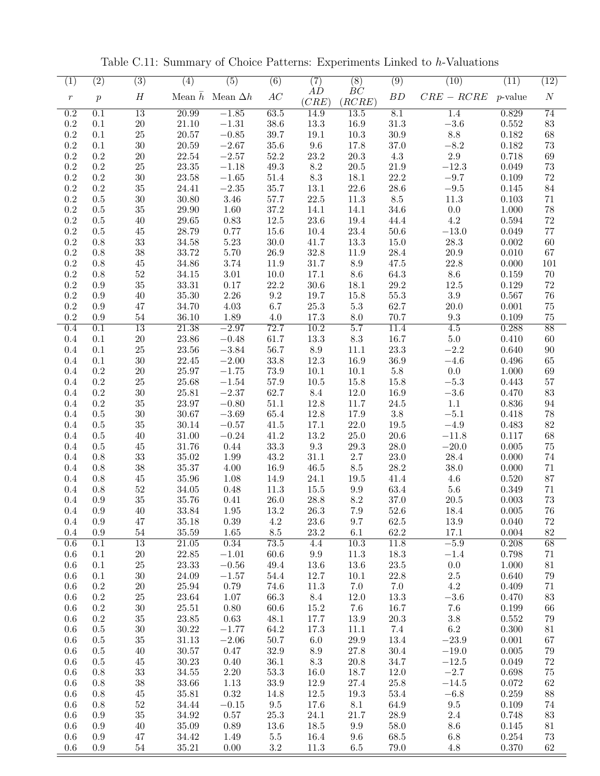| (1)              | $\overline{(2)}$ | $\overline{(3)}$ | $\overline{(4)}$ | $\overline{(5)}$               | $\overline{(6)}$ | (7)             | $\overline{(8)}$ | $\left( 9\right)$ | (10)            | $\overline{(11)}$ | $\overline{(12)}$ |
|------------------|------------------|------------------|------------------|--------------------------------|------------------|-----------------|------------------|-------------------|-----------------|-------------------|-------------------|
|                  |                  |                  |                  |                                |                  | AD              | BC               |                   |                 |                   |                   |
| $\,r\,$          | $\boldsymbol{p}$ | $\boldsymbol{H}$ |                  | Mean $\bar{h}$ Mean $\Delta h$ | AC               | (CRE)           | (RCRE)           | BD                | $CRE - RCRE$    | <i>p</i> -value   | $\boldsymbol{N}$  |
| $\overline{0.2}$ | 0.1              | $\overline{13}$  | 20.99            | $-1.85$                        | 63.5             | 14.9            | 13.5             | 8.1               | 1.4             | 0.829             | $\overline{74}$   |
|                  |                  |                  |                  |                                |                  |                 |                  |                   |                 |                   |                   |
| $\rm 0.2$        | $0.1\,$          | $20\,$           | 21.10            | $-1.31$                        | $38.6\,$         | 13.3            | 16.9             | $31.3\,$          | $-3.6\,$        | 0.552             | 83                |
| 0.2              | $0.1\,$          | $25\,$           | $20.57\,$        | $-0.85$                        | 39.7             | $19.1\,$        | $10.3\,$         | $30.9\,$          | $\!\!\!\!\!8.8$ | 0.182             | $68\,$            |
| 0.2              | 0.1              | $30\,$           | 20.59            | $-2.67$                        | $35.6\,$         | $9.6\,$         | 17.8             | $37.0\,$          | $-8.2$          | 0.182             | $73\,$            |
| 0.2              | 0.2              | $20\,$           | 22.54            | $-2.57$                        | $52.2\,$         | $23.2\,$        | $20.3\,$         | $4.3\,$           | 2.9             | 0.718             | 69                |
| 0.2              | 0.2              | 25               | 23.35            | $-1.18$                        | 49.3             | $8.2\,$         | $20.5\,$         | 21.9              | $-12.3$         | 0.049             | 73                |
| 0.2              | 0.2              | $30\,$           | 23.58            | $-1.65$                        | 51.4             | $\!\!\!\!\!8.3$ | 18.1             | 22.2              | $-9.7$          | 0.109             | $72\,$            |
|                  |                  |                  |                  |                                |                  |                 |                  |                   |                 |                   |                   |
| 0.2              | $\rm 0.2$        | $35\,$           | 24.41            | $-2.35$                        | $35.7\,$         | $13.1\,$        | $22.6\,$         | $28.6\,$          | $\!-9.5$        | 0.145             | 84                |
| 0.2              | 0.5              | $30\,$           | 30.80            | $3.46\,$                       | 57.7             | 22.5            | 11.3             | $8.5\,$           | 11.3            | 0.103             | 71                |
| $0.2\,$          | 0.5              | $35\,$           | 29.90            | 1.60                           | $37.2\,$         | 14.1            | 14.1             | 34.6              | 0.0             | 1.000             | $78\,$            |
| 0.2              | 0.5              | 40               | 29.65            | 0.83                           | 12.5             | 23.6            | 19.4             | 44.4              | 4.2             | 0.594             | 72                |
| $0.2\,$          | 0.5              | 45               | 28.79            | 0.77                           | 15.6             | 10.4            | 23.4             | 50.6              | $-13.0$         | 0.049             | $77\,$            |
| 0.2              | $0.8\,$          | $33\,$           | 34.58            | 5.23                           | 30.0             | 41.7            | 13.3             | 15.0              | 28.3            | 0.002             | 60                |
| $\rm 0.2$        | 0.8              | $38\,$           | 33.72            | 5.70                           | $26.9\,$         | 32.8            | 11.9             | $28.4\,$          | $20.9\,$        | 0.010             | 67                |
|                  |                  |                  | 34.86            | 3.74                           | $11.9\,$         | $31.7\,$        |                  | 47.5              | 22.8            |                   |                   |
| $0.2\,$          | 0.8              | 45               |                  |                                |                  |                 | 8.9              |                   |                 | 0.000             | 101               |
| 0.2              | 0.8              | $52\,$           | $34.15\,$        | $3.01\,$                       | $10.0\,$         | 17.1            | $8.6\,$          | 64.3              | $8.6\,$         | 0.159             | $70\,$            |
| 0.2              | 0.9              | $35\,$           | 33.31            | 0.17                           | 22.2             | 30.6            | 18.1             | 29.2              | 12.5            | 0.129             | $72\,$            |
| 0.2              | 0.9              | 40               | 35.30            | 2.26                           | 9.2              | 19.7            | 15.8             | 55.3              | $3.9\,$         | 0.567             | 76                |
| 0.2              | 0.9              | 47               | 34.70            | 4.03                           | 6.7              | $25.3\,$        | $5.3\,$          | 62.7              | 20.0            | 0.001             | $75\,$            |
| 0.2              | 0.9              | $54\,$           | 36.10            | 1.89                           | 4.0              | 17.3            | 8.0              | 70.7              | 9.3             | 0.109             | 75                |
| 0.4              | 0.1              | 13               | 21.38            | $-2.97$                        | 72.7             | 10.2            | 5.7              | 11.4              | 4.5             | 0.288             | 88                |
|                  |                  |                  |                  |                                |                  |                 |                  |                   |                 |                   |                   |
| 0.4              | $0.1\,$          | $20\,$           | $23.86\,$        | $-0.48$                        | 61.7             | 13.3            | $\!\!\!\!\!8.3$  | 16.7              | $5.0\,$         | 0.410             | 60                |
| 0.4              | 0.1              | $25\,$           | $23.56\,$        | $-3.84$                        | 56.7             | $\!\!\!\!\!8.9$ | 11.1             | $23.3\,$          | $-2.2$          | 0.640             | 90                |
| 0.4              | 0.1              | $30\,$           | 22.45            | $-2.00$                        | 33.8             | 12.3            | 16.9             | 36.9              | $-4.6$          | 0.496             | 65                |
| 0.4              | $\rm 0.2$        | $20\,$           | $25.97\,$        | $-1.75$                        | 73.9             | 10.1            | 10.1             | $5.8\,$           | 0.0             | 1.000             | 69                |
| 0.4              | $\rm 0.2$        | $25\,$           | 25.68            | $-1.54$                        | $57.9\,$         | $10.5\,$        | 15.8             | 15.8              | $-5.3$          | 0.443             | 57                |
| 0.4              | $0.2\,$          | $30\,$           | 25.81            | $-2.37$                        | 62.7             | 8.4             | 12.0             | 16.9              | $-3.6$          | 0.470             | $83\,$            |
| 0.4              | $\rm 0.2$        | $35\,$           | 23.97            | $-0.80$                        | $51.1\,$         | 12.8            | $11.7\,$         | $24.5\,$          | 1.1             | $0.836\,$         | 94                |
|                  |                  |                  |                  |                                |                  |                 |                  |                   |                 |                   |                   |
| 0.4              | 0.5              | $30\,$           | 30.67            | $-3.69$                        | 65.4             | 12.8            | 17.9             | $3.8\,$           | $-5.1$          | 0.418             | 78                |
| 0.4              | 0.5              | $35\,$           | 30.14            | $-0.57$                        | 41.5             | 17.1            | $22.0\,$         | $19.5\,$          | $-4.9$          | 0.483             | 82                |
| 0.4              | $0.5\,$          | 40               | 31.00            | $-0.24$                        | 41.2             | 13.2            | $25.0\,$         | 20.6              | $-11.8$         | 0.117             | 68                |
| 0.4              | 0.5              | 45               | 31.76            | 0.44                           | 33.3             | $9.3\,$         | $29.3\,$         | 28.0              | $-20.0\,$       | 0.005             | $75\,$            |
| 0.4              | 0.8              | $33\,$           | 35.02            | 1.99                           | 43.2             | 31.1            | 2.7              | 23.0              | 28.4            | 0.000             | $74\,$            |
| 0.4              | 0.8              | $38\,$           | $35.37\,$        | 4.00                           | 16.9             | $46.5\,$        | 8.5              | $28.2\,$          | $38.0\,$        | 0.000             | 71                |
| 0.4              | 0.8              | 45               | 35.96            | 1.08                           | 14.9             | 24.1            | 19.5             | 41.4              | 4.6             | 0.520             | $87\,$            |
|                  |                  |                  |                  |                                |                  |                 |                  |                   |                 |                   |                   |
| 0.4              | 0.8              | $52\,$           | 34.05            | 0.48                           | 11.3             | 15.5            | 9.9              | 63.4              | 5.6             | 0.349             | 71                |
| 0.4              | 0.9              | 35               | 35.76            | 0.41                           | 26.0             | 28.8            | 8.2              | 37.0              | 20.5            | 0.003             | 73                |
| 0.4              | $0.9\,$          | $40\,$           | $33.84\,$        | $1.95\,$                       | $13.2\,$         | $26.3\,$        | 7.9              | $52.6\,$          | $18.4\,$        | 0.005             | $76\,$            |
| 0.4              | 0.9              | 47               | 35.18            | $0.39\,$                       | $4.2\,$          | 23.6            | 9.7              | 62.5              | $13.9\,$        | 0.040             | $72\,$            |
| 0.4              | 0.9              | $54\,$           | $35.59\,$        | 1.65                           | $8.5\,$          | $23.2\,$        | 6.1              | 62.2              | 17.1            | 0.004             | $82\,$            |
| 0.6              | 0.1              | $\overline{13}$  | 21.05            | 0.34                           | 73.5             | 4.4             | 10.3             | 11.8              | $-5.9$          | 0.208             | 68                |
| 0.6              | 0.1              | $20\,$           | $22.85\,$        | $-1.01$                        | 60.6             | $9.9\,$         | $11.3\,$         | 18.3              | $-1.4$          | 0.798             | 71                |
| $0.6\,$          | 0.1              | $25\,$           | 23.33            | $-0.56$                        | 49.4             | 13.6            | 13.6             | $23.5\,$          | $0.0\,$         | $1.000\,$         | $81\,$            |
|                  |                  |                  | 24.09            |                                |                  | 12.7            |                  |                   | 2.5             |                   |                   |
| $0.6\,$          | $0.1\,$          | $30\,$           |                  | $-1.57$                        | 54.4             |                 | 10.1             | $22.8\,$          |                 | 0.640             | $79\,$            |
| 0.6              | $0.2\,$          | $20\,$           | 25.94            | 0.79                           | 74.6             | $11.3\,$        | 7.0              | 7.0               | $4.2\,$         | 0.409             | $71\,$            |
| 0.6              | $\rm 0.2$        | $25\,$           | 23.64            | 1.07                           | 66.3             | 8.4             | $12.0\,$         | $13.3\,$          | $-3.6\,$        | 0.470             | $83\,$            |
| 0.6              | $\rm 0.2$        | $30\,$           | $25.51\,$        | $0.80\,$                       | $60.6\,$         | 15.2            | 7.6              | 16.7              | 7.6             | $0.199\,$         | 66                |
| 0.6              | $\rm 0.2$        | $35\,$           | 23.85            | $0.63\,$                       | 48.1             | 17.7            | 13.9             | 20.3              | $3.8\,$         | $0.552\,$         | 79                |
| 0.6              | 0.5              | $30\,$           | 30.22            | $-1.77$                        | 64.2             | 17.3            | 11.1             | 7.4               | $6.2\,$         | $0.300\,$         | 81                |
| 0.6              | 0.5              | $35\,$           | 31.13            | $-2.06$                        | 50.7             | 6.0             | $29.9\,$         | 13.4              | $-23.9$         | $0.001\,$         | 67                |
| 0.6              | $0.5\,$          | 40               | $30.57\,$        | 0.47                           | $32.9\,$         | 8.9             | $27.8\,$         | 30.4              | $-19.0$         | 0.005             | $79\,$            |
|                  |                  |                  |                  |                                |                  |                 |                  |                   |                 |                   |                   |
| 0.6              | $0.5\,$          | 45               | 30.23            | 0.40                           | 36.1             | 8.3             | 20.8             | 34.7              | $-12.5$         | 0.049             | $72\,$            |
| 0.6              | 0.8              | $33\,$           | $34.55\,$        | $2.20\,$                       | 53.3             | 16.0            | 18.7             | 12.0              | $-2.7$          | 0.698             | $75\,$            |
| 0.6              | 0.8              | $38\,$           | 33.66            | 1.13                           | $33.9\,$         | 12.9            | $27.4\,$         | 25.8              | $-14.5$         | 0.072             | $62\,$            |
| 0.6              | 0.8              | 45               | 35.81            | $0.32\,$                       | 14.8             | $12.5\,$        | 19.3             | $53.4\,$          | $-6.8$          | 0.259             | $88\,$            |
| 0.6              | 0.8              | $52\,$           | 34.44            | $-0.15$                        | $\,9.5$          | 17.6            | 8.1              | 64.9              | $9.5\,$         | $0.109\,$         | 74                |
| 0.6              | 0.9              | $35\,$           | $34.92\,$        | $0.57\,$                       | $25.3\,$         | $24.1\,$        | $21.7\,$         | $28.9\,$          | 2.4             | 0.748             | $83\,$            |
| 0.6              | 0.9              | 40               | $35.09\,$        | 0.89                           | 13.6             | 18.5            | $\rm 9.9$        | 58.0              | 8.6             | 0.145             | 81                |
|                  |                  |                  |                  |                                |                  |                 |                  |                   |                 |                   |                   |
| 0.6              | 0.9              | 47               | 34.42            | 1.49                           | $5.5\,$          | 16.4            | 9.6              | 68.5              | 6.8             | $0.254\,$         | $73\,$            |

0.6 0.9 54 35.21 0.00 3.2 11.3 6.5 79.0 4.8 0.370 62

Table C.11: Summary of Choice Patterns: Experiments Linked to *h*-Valuations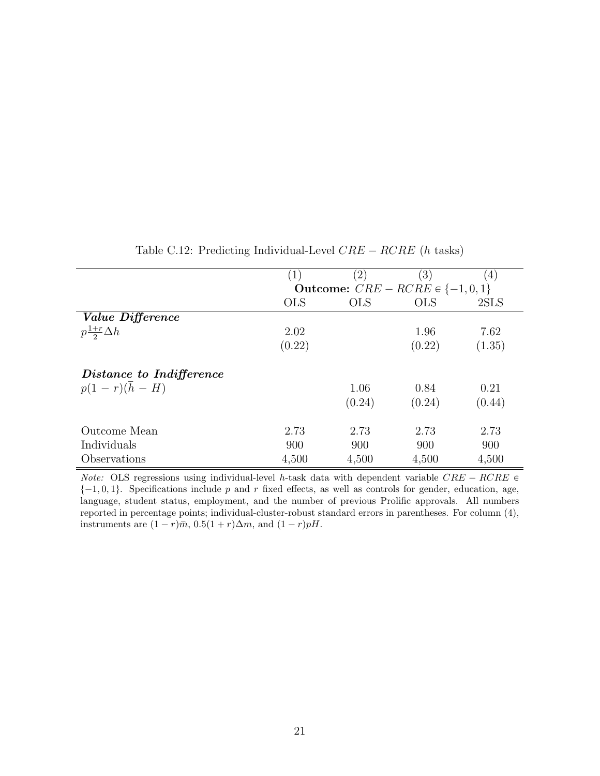|                              | $\mathbf{1}$ | $\left( 2\right)$ | $^{\prime}3)$                          | (4)    |
|------------------------------|--------------|-------------------|----------------------------------------|--------|
|                              |              |                   | Outcome: $CRE - RCRE \in \{-1, 0, 1\}$ |        |
|                              | <b>OLS</b>   | <b>OLS</b>        | <b>OLS</b>                             | 2SLS   |
| <i>Value Difference</i>      |              |                   |                                        |        |
| $p\frac{1+r}{2}\Delta h$     | 2.02         |                   | 1.96                                   | 7.62   |
|                              | (0.22)       |                   | (0.22)                                 | (1.35) |
| Distance to Indifference     |              |                   |                                        |        |
| $p(1 - r)(\overline{h} - H)$ |              | 1.06              | 0.84                                   | 0.21   |
|                              |              | (0.24)            | (0.24)                                 | (0.44) |
| Outcome Mean                 | 2.73         | 2.73              | 2.73                                   | 2.73   |
| Individuals                  | 900          | 900               | 900                                    | 900    |
| Observations                 | 4,500        | 4,500             | 4,500                                  | 4,500  |

Table C.12: Predicting Individual-Level  $CRE - RCRE$  (*h* tasks)

*Note:* OLS regressions using individual-level *h*-task data with dependent variable  $CRE - RCRE \in$  $\{-1, 0, 1\}$ . Specifications include *p* and *r* fixed effects, as well as controls for gender, education, age, language, student status, employment, and the number of previous Prolific approvals. All numbers reported in percentage points; individual-cluster-robust standard errors in parentheses. For column (4), instruments are  $(1 - r)\overline{m}$ ,  $0.5(1 + r)\Delta m$ , and  $(1 - r)pH$ .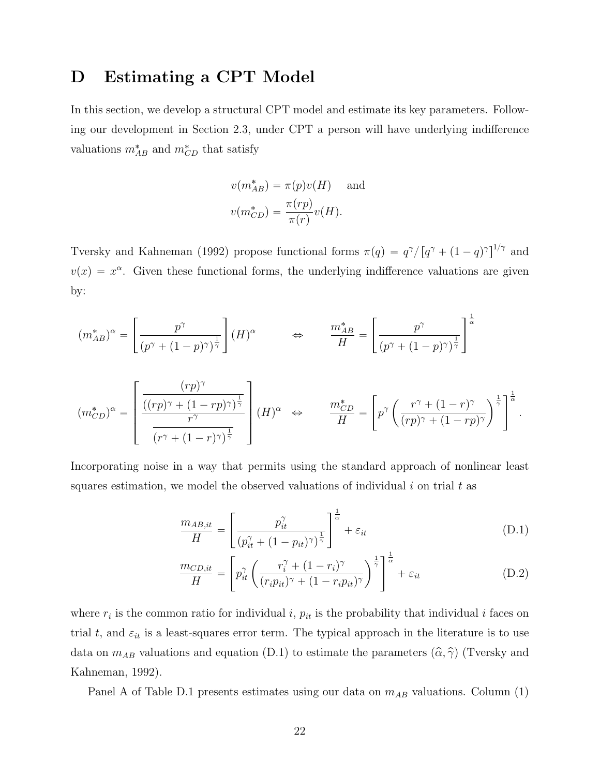# D Estimating a CPT Model

In this section, we develop a structural CPT model and estimate its key parameters. Following our development in Section 2.3, under CPT a person will have underlying indifference valuations  $m_{AB}^*$  and  $m_{CD}^*$  that satisfy

$$
v(m_{AB}^*) = \pi(p)v(H) \quad \text{and}
$$

$$
v(m_{CD}^*) = \frac{\pi(rp)}{\pi(r)}v(H).
$$

Tversky and Kahneman (1992) propose functional forms  $\pi(q) = q^{\gamma}/[q^{\gamma} + (1-q)^{\gamma}]^{1/\gamma}$  and  $v(x) = x^{\alpha}$ . Given these functional forms, the underlying indifference valuations are given by:

$$
(m_{AB}^*)^{\alpha} = \left[\frac{p^{\gamma}}{(p^{\gamma} + (1-p)^{\gamma})^{\frac{1}{\gamma}}}\right] (H)^{\alpha} \qquad \Leftrightarrow \qquad \frac{m_{AB}^*}{H} = \left[\frac{p^{\gamma}}{(p^{\gamma} + (1-p)^{\gamma})^{\frac{1}{\gamma}}}\right]^{\frac{1}{\alpha}}
$$

$$
(m_{CD}^*)^{\alpha} = \left[ \frac{\frac{(rp)^{\gamma}}{((rp)^{\gamma} + (1 - rp)^{\gamma})^{\frac{1}{\gamma}}}}{(r^{\gamma} + (1 - r)^{\gamma})^{\frac{1}{\gamma}}}\right](H)^{\alpha} \Leftrightarrow \qquad \frac{m_{CD}^*}{H} = \left[p^{\gamma}\left(\frac{r^{\gamma} + (1 - r)^{\gamma}}{(rp)^{\gamma} + (1 - rp)^{\gamma}}\right)^{\frac{1}{\gamma}}\right]^{\frac{1}{\alpha}}.
$$

Incorporating noise in a way that permits using the standard approach of nonlinear least squares estimation, we model the observed valuations of individual *i* on trial *t* as

$$
\frac{m_{AB,it}}{H} = \left[ \frac{p_{it}^{\gamma}}{(p_{it}^{\gamma} + (1 - p_{it})^{\gamma})^{\frac{1}{\gamma}}} \right]^{\frac{1}{\alpha}} + \varepsilon_{it}
$$
\n(D.1)

$$
\frac{m_{CD,it}}{H} = \left[ p_{it}^{\gamma} \left( \frac{r_i^{\gamma} + (1 - r_i)^{\gamma}}{(r_i p_{it})^{\gamma} + (1 - r_i p_{it})^{\gamma}} \right)^{\frac{1}{\gamma}} \right]^{\frac{1}{\alpha}} + \varepsilon_{it}
$$
(D.2)

where  $r_i$  is the common ratio for individual *i*,  $p_{it}$  is the probability that individual *i* faces on trial  $t$ , and  $\varepsilon_{it}$  is a least-squares error term. The typical approach in the literature is to use data on  $m_{AB}$  valuations and equation (D.1) to estimate the parameters  $(\hat{\alpha}, \hat{\gamma})$  (Tversky and Kahneman, 1992).

Panel A of Table D.1 presents estimates using our data on *mAB* valuations. Column (1)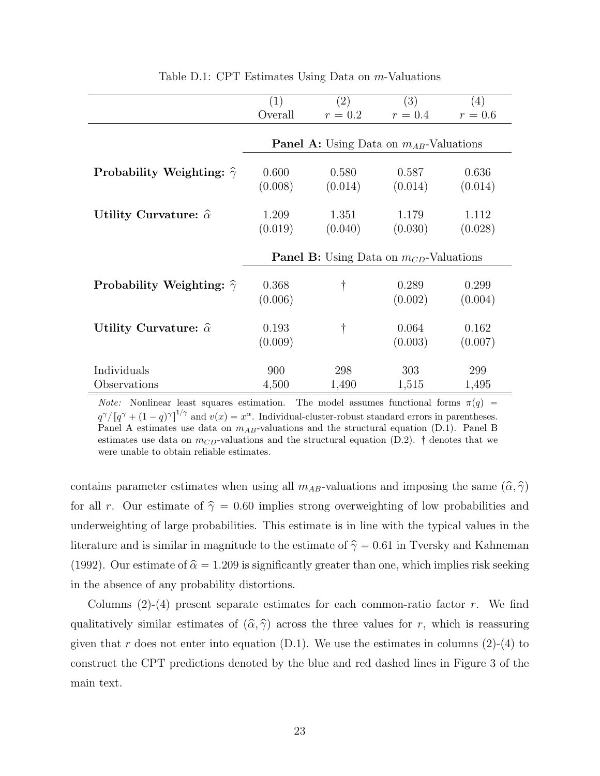|                                       | (1)                                                | (2)     | (3)     | (4)       |
|---------------------------------------|----------------------------------------------------|---------|---------|-----------|
|                                       | Overall                                            | $r=0.2$ | $r=0.4$ | $r = 0.6$ |
|                                       |                                                    |         |         |           |
|                                       | <b>Panel A:</b> Using Data on $m_{AB}$ -Valuations |         |         |           |
| Probability Weighting: $\hat{\gamma}$ | 0.600                                              | 0.580   | 0.587   | 0.636     |
|                                       | (0.008)                                            | (0.014) | (0.014) | (0.014)   |
| Utility Curvature: $\hat{\alpha}$     | 1.209                                              | 1.351   | 1.179   | 1.112     |
|                                       | (0.019)                                            | (0.040) | (0.030) | (0.028)   |
|                                       | <b>Panel B:</b> Using Data on $m_{CD}$ -Valuations |         |         |           |
| Probability Weighting: $\hat{\gamma}$ | 0.368                                              | t       | 0.289   | 0.299     |
|                                       | (0.006)                                            |         | (0.002) | (0.004)   |
| Utility Curvature: $\hat{\alpha}$     | 0.193                                              | t       | 0.064   | 0.162     |
|                                       | (0.009)                                            |         | (0.003) | (0.007)   |
| Individuals                           | 900                                                | 298     | 303     | 299       |
| Observations                          | 4,500                                              | 1,490   | 1,515   | 1,495     |

Table D.1: CPT Estimates Using Data on *m*-Valuations

*Note:* Nonlinear least squares estimation. The model assumes functional forms  $\pi(q)$  =  $q^{\gamma}/[q^{\gamma} + (1 - q)^{\gamma}]^{1/\gamma}$  and  $v(x) = x^{\alpha}$ . Individual-cluster-robust standard errors in parentheses. Panel A estimates use data on *mAB*-valuations and the structural equation (D.1). Panel B estimates use data on  $m_{CD}$ -valuations and the structural equation (D.2).  $\dagger$  denotes that we were unable to obtain reliable estimates.

contains parameter estimates when using all  $m_{AB}$ -valuations and imposing the same  $(\hat{\alpha}, \hat{\gamma})$ for all r. Our estimate of  $\hat{\gamma} = 0.60$  implies strong overweighting of low probabilities and underweighting of large probabilities. This estimate is in line with the typical values in the literature and is similar in magnitude to the estimate of  $\hat{\gamma} = 0.61$  in Tversky and Kahneman (1992). Our estimate of  $\hat{\alpha} = 1.209$  is significantly greater than one, which implies risk seeking in the absence of any probability distortions.

Columns (2)-(4) present separate estimates for each common-ratio factor *r*. We find qualitatively similar estimates of  $(\hat{\alpha}, \hat{\gamma})$  across the three values for *r*, which is reassuring given that *r* does not enter into equation  $(D.1)$ . We use the estimates in columns  $(2)-(4)$  to construct the CPT predictions denoted by the blue and red dashed lines in Figure 3 of the main text.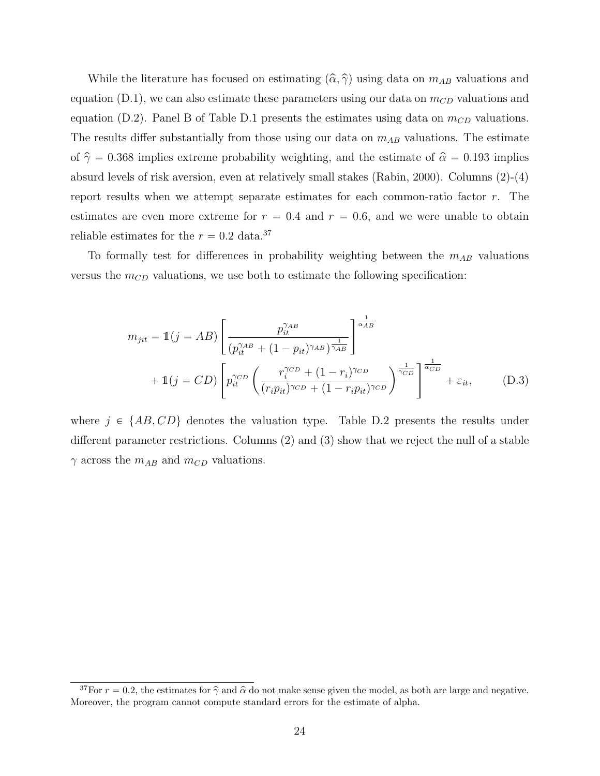While the literature has focused on estimating  $(\hat{\alpha}, \hat{\gamma})$  using data on  $m_{AB}$  valuations and equation  $(D.1)$ , we can also estimate these parameters using our data on  $m_{CD}$  valuations and equation (D.2). Panel B of Table D.1 presents the estimates using data on  $m_{CD}$  valuations. The results differ substantially from those using our data on  $m_{AB}$  valuations. The estimate of  $\hat{\gamma} = 0.368$  implies extreme probability weighting, and the estimate of  $\hat{\alpha} = 0.193$  implies absurd levels of risk aversion, even at relatively small stakes (Rabin, 2000). Columns (2)-(4) report results when we attempt separate estimates for each common-ratio factor *r*. The estimates are even more extreme for  $r = 0.4$  and  $r = 0.6$ , and we were unable to obtain reliable estimates for the  $r = 0.2$  data.<sup>37</sup>

To formally test for differences in probability weighting between the  $m_{AB}$  valuations versus the  $m_{CD}$  valuations, we use both to estimate the following specification:

$$
m_{jit} = \mathbb{1}(j = AB) \left[ \frac{p_{it}^{\gamma_{AB}}}{(p_{it}^{\gamma_{AB}} + (1 - p_{it})^{\gamma_{AB}})^{\frac{1}{\gamma_{AB}}}} \right]^{\frac{1}{\alpha_{AB}}} + \mathbb{1}(j = CD) \left[ p_{it}^{\gamma_{CD}} \left( \frac{r_{i}^{\gamma_{CD}} + (1 - r_{i})^{\gamma_{CD}}}{(r_{i}p_{it})^{\gamma_{CD}} + (1 - r_{i}p_{it})^{\gamma_{CD}}} \right)^{\frac{1}{\gamma_{CD}}} \right]^{\frac{1}{\alpha_{CD}}} + \varepsilon_{it}, \quad (D.3)
$$

where  $j \in \{AB, CD\}$  denotes the valuation type. Table D.2 presents the results under different parameter restrictions. Columns  $(2)$  and  $(3)$  show that we reject the null of a stable  $\gamma$  across the  $m_{AB}$  and  $m_{CD}$  valuations.

<sup>&</sup>lt;sup>37</sup>For  $r = 0.2$ , the estimates for  $\hat{\gamma}$  and  $\hat{\alpha}$  do not make sense given the model, as both are large and negative. Moreover, the program cannot compute standard errors for the estimate of alpha.